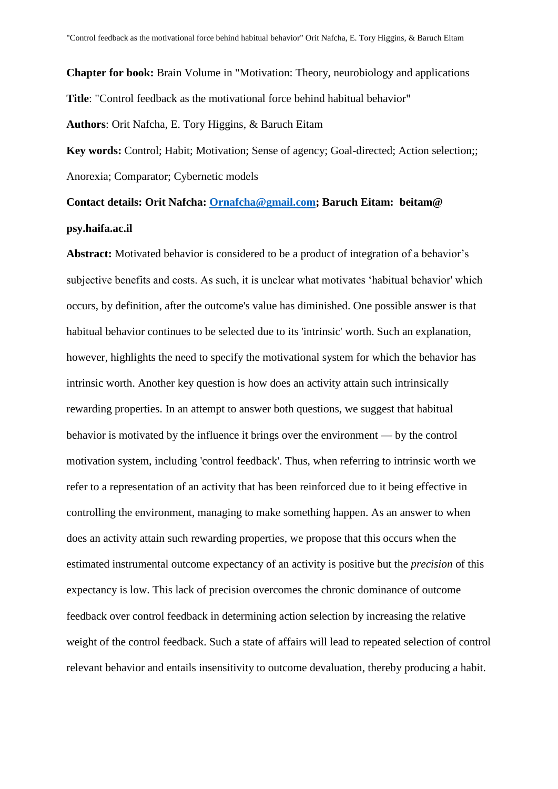**Chapter for book:** Brain Volume in "Motivation: Theory, neurobiology and applications **Title**: "Control feedback as the motivational force behind habitual behavior" **Authors**: Orit Nafcha, E. Tory Higgins, & Baruch Eitam

**Key words:** Control; Habit; Motivation; Sense of agency; Goal-directed; Action selection;; Anorexia; Comparator; Cybernetic models

**Contact details: Orit Nafcha: [Ornafcha@gmail.com;](mailto:Ornafcha@gmail.com) Baruch Eitam: beitam@ psy.haifa.ac.il**

**Abstract:** Motivated behavior is considered to be a product of integration of a behavior's subjective benefits and costs. As such, it is unclear what motivates 'habitual behavior' which occurs, by definition, after the outcome's value has diminished. One possible answer is that habitual behavior continues to be selected due to its 'intrinsic' worth. Such an explanation, however, highlights the need to specify the motivational system for which the behavior has intrinsic worth. Another key question is how does an activity attain such intrinsically rewarding properties. In an attempt to answer both questions, we suggest that habitual behavior is motivated by the influence it brings over the environment — by the control motivation system, including 'control feedback'. Thus, when referring to intrinsic worth we refer to a representation of an activity that has been reinforced due to it being effective in controlling the environment, managing to make something happen. As an answer to when does an activity attain such rewarding properties, we propose that this occurs when the estimated instrumental outcome expectancy of an activity is positive but the *precision* of this expectancy is low. This lack of precision overcomes the chronic dominance of outcome feedback over control feedback in determining action selection by increasing the relative weight of the control feedback. Such a state of affairs will lead to repeated selection of control relevant behavior and entails insensitivity to outcome devaluation, thereby producing a habit.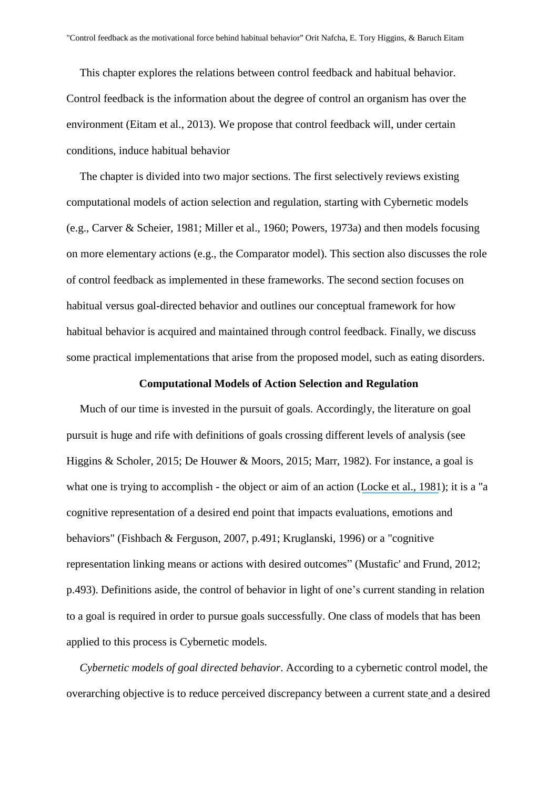This chapter explores the relations between control feedback and habitual behavior. Control feedback is the information about the degree of control an organism has over the environment (Eitam et al., 2013). We propose that control feedback will, under certain conditions, induce habitual behavior

The chapter is divided into two major sections. The first selectively reviews existing computational models of action selection and regulation, starting with Cybernetic models (e.g., Carver & Scheier, 1981; Miller et al., 1960; Powers, 1973a) and then models focusing on more elementary actions (e.g., the Comparator model). This section also discusses the role of control feedback as implemented in these frameworks. The second section focuses on habitual versus goal-directed behavior and outlines our conceptual framework for how habitual behavior is acquired and maintained through control feedback. Finally, we discuss some practical implementations that arise from the proposed model, such as eating disorders.

#### **Computational Models of Action Selection and Regulation**

Much of our time is invested in the pursuit of goals. Accordingly, the literature on goal pursuit is huge and rife with definitions of goals crossing different levels of analysis (see Higgins & Scholer, 2015; De Houwer & Moors, 2015; Marr, 1982). For instance, a goal is what one is trying to accomplish - the object or aim of an action ([Locke](https://www.researchgate.net/publication/232586681_Goal_Setting_and_Task_Performance_1969-1980?el=1_x_8&enrichId=rgreq-d00313c79f497528f4c3d1be325467ee-XXX&enrichSource=Y292ZXJQYWdlOzMwMzcxOTk4NjtBUzozNjgyNDEyOTQ3NTc4ODhAMTQ2NDgwNjk3NDI2MQ==) et al., 1981); it is a "a cognitive representation of a desired end point that impacts evaluations, emotions and behaviors" (Fishbach & Ferguson, 2007, p.491; Kruglanski, 1996) or a "cognitive representation linking means or actions with desired outcomes" (Mustafic' and Frund, 2012; p.493). Definitions aside, the control of behavior in light of one's current standing in relation to a goal is required in order to pursue goals successfully. One class of models that has been applied to this process is Cybernetic models.

*Cybernetic models of goal directed behavior*. According to a cybernetic control model, the overarching objective is to reduce perceived discrepancy between a current state and a desired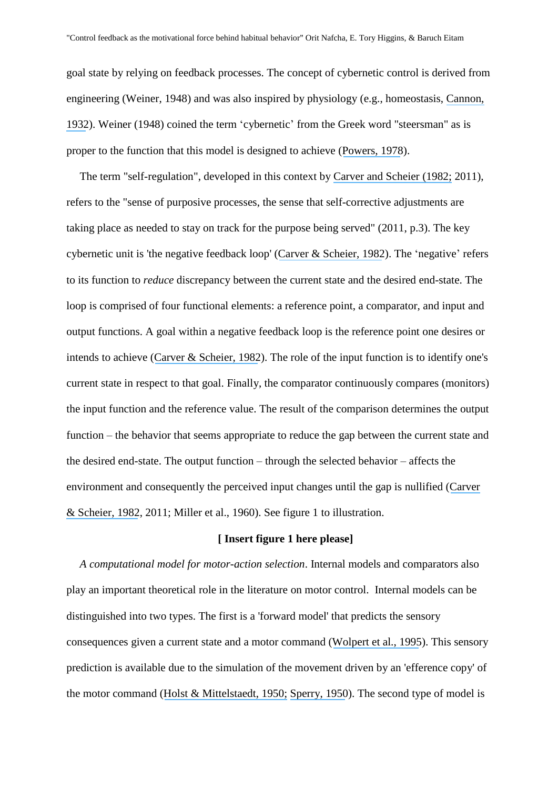goal state by relying on feedback processes. The concept of cybernetic control is derived from engineering (Weiner, 1948) and was also inspired by physiology (e.g., homeostasis, [Cannon,](https://www.researchgate.net/publication/232597152_The_Wisdom_of_the_Body?el=1_x_8&enrichId=rgreq-d00313c79f497528f4c3d1be325467ee-XXX&enrichSource=Y292ZXJQYWdlOzMwMzcxOTk4NjtBUzozNjgyNDEyOTQ3NTc4ODhAMTQ2NDgwNjk3NDI2MQ==) [1932](https://www.researchgate.net/publication/232597152_The_Wisdom_of_the_Body?el=1_x_8&enrichId=rgreq-d00313c79f497528f4c3d1be325467ee-XXX&enrichSource=Y292ZXJQYWdlOzMwMzcxOTk4NjtBUzozNjgyNDEyOTQ3NTc4ODhAMTQ2NDgwNjk3NDI2MQ==)). Weiner (1948) coined the term 'cybernetic' from the Greek word "steersman" as is proper to the function that this model is designed to achieve ([Powers, 1978](https://www.researchgate.net/publication/232542274_Quantitative_Analysis_of_Purposive_Systems_Some_Spadework_at_the_Foundations_of_Scientific_Psychology?el=1_x_8&enrichId=rgreq-d00313c79f497528f4c3d1be325467ee-XXX&enrichSource=Y292ZXJQYWdlOzMwMzcxOTk4NjtBUzozNjgyNDEyOTQ3NTc4ODhAMTQ2NDgwNjk3NDI2MQ==)).

The term "self-regulation", developed in this context by Carver and [Scheier](https://www.researchgate.net/publication/16065403_Control_theory_A_useful_conceptual_framework_for_personality-social_clinical_and_health_psychology?el=1_x_8&enrichId=rgreq-d00313c79f497528f4c3d1be325467ee-XXX&enrichSource=Y292ZXJQYWdlOzMwMzcxOTk4NjtBUzozNjgyNDEyOTQ3NTc4ODhAMTQ2NDgwNjk3NDI2MQ==) (1982; 2011), refers to the "sense of purposive processes, the sense that self-corrective adjustments are taking place as needed to stay on track for the purpose being served" (2011, p.3). The key cybernetic unit is 'the negative feedback loop' (Carver & [Scheier,](https://www.researchgate.net/publication/16065403_Control_theory_A_useful_conceptual_framework_for_personality-social_clinical_and_health_psychology?el=1_x_8&enrichId=rgreq-d00313c79f497528f4c3d1be325467ee-XXX&enrichSource=Y292ZXJQYWdlOzMwMzcxOTk4NjtBUzozNjgyNDEyOTQ3NTc4ODhAMTQ2NDgwNjk3NDI2MQ==) 1982). The 'negative' refers to its function to *reduce* discrepancy between the current state and the desired end-state. The loop is comprised of four functional elements: a reference point, a comparator, and input and output functions. A goal within a negative feedback loop is the reference point one desires or intends to achieve (Carver & [Scheier,](https://www.researchgate.net/publication/16065403_Control_theory_A_useful_conceptual_framework_for_personality-social_clinical_and_health_psychology?el=1_x_8&enrichId=rgreq-d00313c79f497528f4c3d1be325467ee-XXX&enrichSource=Y292ZXJQYWdlOzMwMzcxOTk4NjtBUzozNjgyNDEyOTQ3NTc4ODhAMTQ2NDgwNjk3NDI2MQ==) 1982). The role of the input function is to identify one's current state in respect to that goal. Finally, the comparator continuously compares (monitors) the input function and the reference value. The result of the comparison determines the output function – the behavior that seems appropriate to reduce the gap between the current state and the desired end-state. The output function – through the selected behavior – affects the environment and consequently the perceived input changes until the gap is nullified ([Carver](https://www.researchgate.net/publication/16065403_Control_theory_A_useful_conceptual_framework_for_personality-social_clinical_and_health_psychology?el=1_x_8&enrichId=rgreq-d00313c79f497528f4c3d1be325467ee-XXX&enrichSource=Y292ZXJQYWdlOzMwMzcxOTk4NjtBUzozNjgyNDEyOTQ3NTc4ODhAMTQ2NDgwNjk3NDI2MQ==) & [Scheier,](https://www.researchgate.net/publication/16065403_Control_theory_A_useful_conceptual_framework_for_personality-social_clinical_and_health_psychology?el=1_x_8&enrichId=rgreq-d00313c79f497528f4c3d1be325467ee-XXX&enrichSource=Y292ZXJQYWdlOzMwMzcxOTk4NjtBUzozNjgyNDEyOTQ3NTc4ODhAMTQ2NDgwNjk3NDI2MQ==) 1982, 2011; Miller et al., 1960). See figure 1 to illustration.

## **[ Insert figure 1 here please]**

*A computational model for motor-action selection*. Internal models and comparators also play an important theoretical role in the literature on motor control. Internal models can be distinguished into two types. The first is a 'forward model' that predicts the sensory consequences given a current state and a motor command ([Wolpert](https://www.researchgate.net/publication/15629049_An_Internal_Model_for_Sensorimotor_Integration?el=1_x_8&enrichId=rgreq-d00313c79f497528f4c3d1be325467ee-XXX&enrichSource=Y292ZXJQYWdlOzMwMzcxOTk4NjtBUzozNjgyNDEyOTQ3NTc4ODhAMTQ2NDgwNjk3NDI2MQ==) et al., 1995). This sensory prediction is available due to the simulation of the movement driven by an 'efference copy' of the motor command (Holst & [Mittelstaedt,](https://www.researchgate.net/publication/233813495_Das_Reafferenzprinzip_Wechselwirkung_zwischen_Zentralnervensystem_and_Peripherie?el=1_x_8&enrichId=rgreq-d00313c79f497528f4c3d1be325467ee-XXX&enrichSource=Y292ZXJQYWdlOzMwMzcxOTk4NjtBUzozNjgyNDEyOTQ3NTc4ODhAMTQ2NDgwNjk3NDI2MQ==) 1950; [Sperry,](https://www.researchgate.net/publication/8855144_Neural_basis_of_the_spontaneous_optokinetic_response_produced_by_visual_inversion?el=1_x_8&enrichId=rgreq-d00313c79f497528f4c3d1be325467ee-XXX&enrichSource=Y292ZXJQYWdlOzMwMzcxOTk4NjtBUzozNjgyNDEyOTQ3NTc4ODhAMTQ2NDgwNjk3NDI2MQ==) 1950). The second type of model is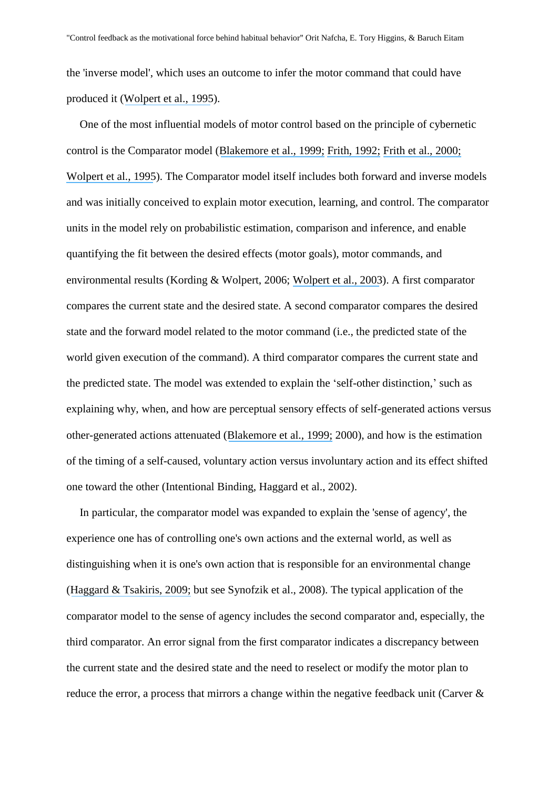the 'inverse model', which uses an outcome to infer the motor command that could have produced it ([Wolpert](https://www.researchgate.net/publication/15629049_An_Internal_Model_for_Sensorimotor_Integration?el=1_x_8&enrichId=rgreq-d00313c79f497528f4c3d1be325467ee-XXX&enrichSource=Y292ZXJQYWdlOzMwMzcxOTk4NjtBUzozNjgyNDEyOTQ3NTc4ODhAMTQ2NDgwNjk3NDI2MQ==) et al., 1995).

One of the most influential models of motor control based on the principle of cybernetic control is the Comparator model ([Blakemore](https://www.researchgate.net/publication/12788126_Spatio-Temporal_Prediction_Modulates_the_Perception_of_Self-Produced_Stimuli?el=1_x_8&enrichId=rgreq-d00313c79f497528f4c3d1be325467ee-XXX&enrichSource=Y292ZXJQYWdlOzMwMzcxOTk4NjtBUzozNjgyNDEyOTQ3NTc4ODhAMTQ2NDgwNjk3NDI2MQ==) et al., 1999; Frith, [1992;](https://www.researchgate.net/publication/216305371_The_Cognitive_Neuropsychology_of_Schizophrenia?el=1_x_8&enrichId=rgreq-d00313c79f497528f4c3d1be325467ee-XXX&enrichSource=Y292ZXJQYWdlOzMwMzcxOTk4NjtBUzozNjgyNDEyOTQ3NTc4ODhAMTQ2NDgwNjk3NDI2MQ==) Frith et al., [2000;](https://www.researchgate.net/publication/12126548_Abnormalities_in_the_Awareness_and_Control_of_Action?el=1_x_8&enrichId=rgreq-d00313c79f497528f4c3d1be325467ee-XXX&enrichSource=Y292ZXJQYWdlOzMwMzcxOTk4NjtBUzozNjgyNDEyOTQ3NTc4ODhAMTQ2NDgwNjk3NDI2MQ==) [Wolpert](https://www.researchgate.net/publication/15629049_An_Internal_Model_for_Sensorimotor_Integration?el=1_x_8&enrichId=rgreq-d00313c79f497528f4c3d1be325467ee-XXX&enrichSource=Y292ZXJQYWdlOzMwMzcxOTk4NjtBUzozNjgyNDEyOTQ3NTc4ODhAMTQ2NDgwNjk3NDI2MQ==) et al., 1995). The Comparator model itself includes both forward and inverse models and was initially conceived to explain motor execution, learning, and control. The comparator units in the model rely on probabilistic estimation, comparison and inference, and enable quantifying the fit between the desired effects (motor goals), motor commands, and environmental results (Kording & Wolpert, 2006; [Wolpert](https://www.researchgate.net/publication/10810904_A_unifying_computational_framework_for_motor_control_and_social_interaction?el=1_x_8&enrichId=rgreq-d00313c79f497528f4c3d1be325467ee-XXX&enrichSource=Y292ZXJQYWdlOzMwMzcxOTk4NjtBUzozNjgyNDEyOTQ3NTc4ODhAMTQ2NDgwNjk3NDI2MQ==) et al., 2003). A first comparator compares the current state and the desired state. A second comparator compares the desired state and the forward model related to the motor command (i.e., the predicted state of the world given execution of the command). A third comparator compares the current state and the predicted state. The model was extended to explain the 'self-other distinction,' such as explaining why, when, and how are perceptual sensory effects of self-generated actions versus other-generated actions attenuated ([Blakemore](https://www.researchgate.net/publication/12788126_Spatio-Temporal_Prediction_Modulates_the_Perception_of_Self-Produced_Stimuli?el=1_x_8&enrichId=rgreq-d00313c79f497528f4c3d1be325467ee-XXX&enrichSource=Y292ZXJQYWdlOzMwMzcxOTk4NjtBUzozNjgyNDEyOTQ3NTc4ODhAMTQ2NDgwNjk3NDI2MQ==) et al., 1999; 2000), and how is the estimation of the timing of a self-caused, voluntary action versus involuntary action and its effect shifted one toward the other (Intentional Binding, Haggard et al., 2002).

In particular, the comparator model was expanded to explain the 'sense of agency', the experience one has of controlling one's own actions and the external world, as well as distinguishing when it is one's own action that is responsible for an environmental change (Haggard & [Tsakiris,](https://www.researchgate.net/publication/237791704_The_Experience_of_AgencyFeelings_Judgments_and_Responsibility?el=1_x_8&enrichId=rgreq-d00313c79f497528f4c3d1be325467ee-XXX&enrichSource=Y292ZXJQYWdlOzMwMzcxOTk4NjtBUzozNjgyNDEyOTQ3NTc4ODhAMTQ2NDgwNjk3NDI2MQ==) 2009; but see Synofzik et al., 2008). The typical application of the comparator model to the sense of agency includes the second comparator and, especially, the third comparator. An error signal from the first comparator indicates a discrepancy between the current state and the desired state and the need to reselect or modify the motor plan to reduce the error, a process that mirrors a change within the negative feedback unit (Carver &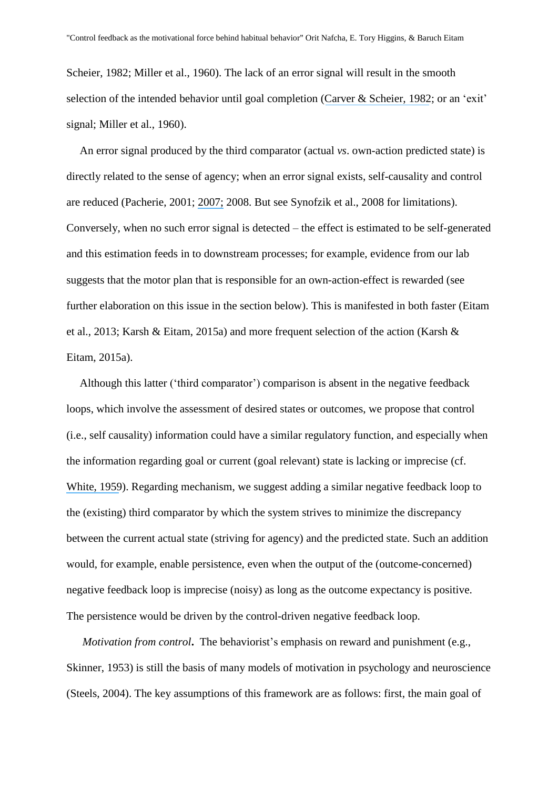Scheier, 1982; Miller et al., 1960). The lack of an error signal will result in the smooth selection of the intended behavior until goal completion (Carver & [Scheier,](https://www.researchgate.net/publication/16065403_Control_theory_A_useful_conceptual_framework_for_personality-social_clinical_and_health_psychology?el=1_x_8&enrichId=rgreq-d00313c79f497528f4c3d1be325467ee-XXX&enrichSource=Y292ZXJQYWdlOzMwMzcxOTk4NjtBUzozNjgyNDEyOTQ3NTc4ODhAMTQ2NDgwNjk3NDI2MQ==) 1982; or an 'exit' signal; Miller et al., 1960).

An error signal produced by the third comparator (actual *vs*. own-action predicted state) is directly related to the sense of agency; when an error signal exists, self-causality and control are reduced (Pacherie, 2001; [2007;](https://www.researchgate.net/publication/36734398_The_Sense_of_Control_and_the_Sense_of_Agency?el=1_x_8&enrichId=rgreq-d00313c79f497528f4c3d1be325467ee-XXX&enrichSource=Y292ZXJQYWdlOzMwMzcxOTk4NjtBUzozNjgyNDEyOTQ3NTc4ODhAMTQ2NDgwNjk3NDI2MQ==) 2008. But see Synofzik et al., 2008 for limitations). Conversely, when no such error signal is detected – the effect is estimated to be self-generated and this estimation feeds in to downstream processes; for example, evidence from our lab suggests that the motor plan that is responsible for an own-action-effect is rewarded (see further elaboration on this issue in the section below). This is manifested in both faster (Eitam et al., 2013; Karsh & Eitam, 2015a) and more frequent selection of the action (Karsh & Eitam, 2015a).

Although this latter ('third comparator') comparison is absent in the negative feedback loops, which involve the assessment of desired states or outcomes, we propose that control (i.e., self causality) information could have a similar regulatory function, and especially when the information regarding goal or current (goal relevant) state is lacking or imprecise (cf. [White,](https://www.researchgate.net/publication/9723492_Motivation_Reconsidered_The_Concept_Of_Competence?el=1_x_8&enrichId=rgreq-d00313c79f497528f4c3d1be325467ee-XXX&enrichSource=Y292ZXJQYWdlOzMwMzcxOTk4NjtBUzozNjgyNDEyOTQ3NTc4ODhAMTQ2NDgwNjk3NDI2MQ==) 1959). Regarding mechanism, we suggest adding a similar negative feedback loop to the (existing) third comparator by which the system strives to minimize the discrepancy between the current actual state (striving for agency) and the predicted state. Such an addition would, for example, enable persistence, even when the output of the (outcome-concerned) negative feedback loop is imprecise (noisy) as long as the outcome expectancy is positive. The persistence would be driven by the control-driven negative feedback loop.

*Motivation from control***.** The behaviorist's emphasis on reward and punishment (e.g., Skinner, 1953) is still the basis of many models of motivation in psychology and neuroscience (Steels, 2004). The key assumptions of this framework are as follows: first, the main goal of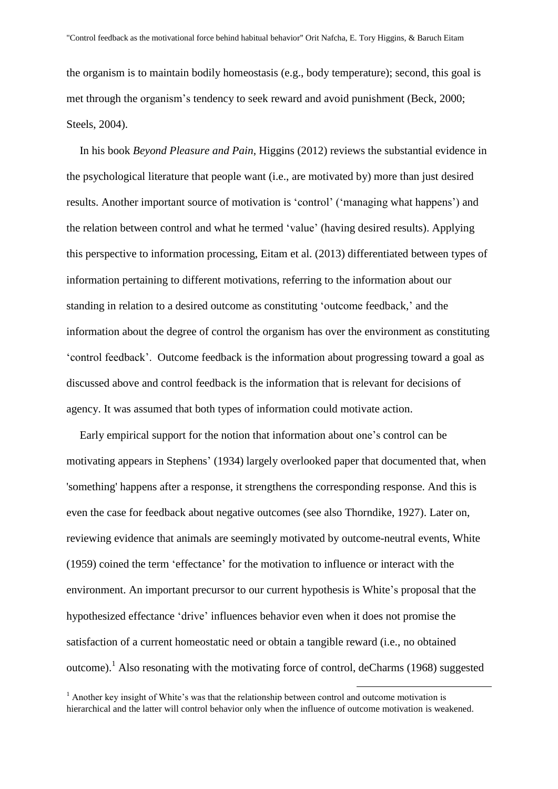the organism is to maintain bodily homeostasis (e.g., body temperature); second, this goal is met through the organism's tendency to seek reward and avoid punishment (Beck, 2000; Steels, 2004).

In his book *Beyond Pleasure and Pain*, Higgins (2012) reviews the substantial evidence in the psychological literature that people want (i.e., are motivated by) more than just desired results. Another important source of motivation is 'control' ('managing what happens') and the relation between control and what he termed 'value' (having desired results). Applying this perspective to information processing, Eitam et al. (2013) differentiated between types of information pertaining to different motivations, referring to the information about our standing in relation to a desired outcome as constituting 'outcome feedback,' and the information about the degree of control the organism has over the environment as constituting 'control feedback'. Outcome feedback is the information about progressing toward a goal as discussed above and control feedback is the information that is relevant for decisions of agency. It was assumed that both types of information could motivate action.

Early empirical support for the notion that information about one's control can be motivating appears in Stephens' (1934) largely overlooked paper that documented that, when 'something' happens after a response, it strengthens the corresponding response. And this is even the case for feedback about negative outcomes (see also Thorndike, 1927). Later on, reviewing evidence that animals are seemingly motivated by outcome-neutral events, White (1959) coined the term 'effectance' for the motivation to influence or interact with the environment. An important precursor to our current hypothesis is White's proposal that the hypothesized effectance 'drive' influences behavior even when it does not promise the satisfaction of a current homeostatic need or obtain a tangible reward (i.e., no obtained outcome).<sup>1</sup> Also resonating with the motivating force of control, deCharms (1968) suggested

1

 $<sup>1</sup>$  Another key insight of White's was that the relationship between control and outcome motivation is</sup> hierarchical and the latter will control behavior only when the influence of outcome motivation is weakened.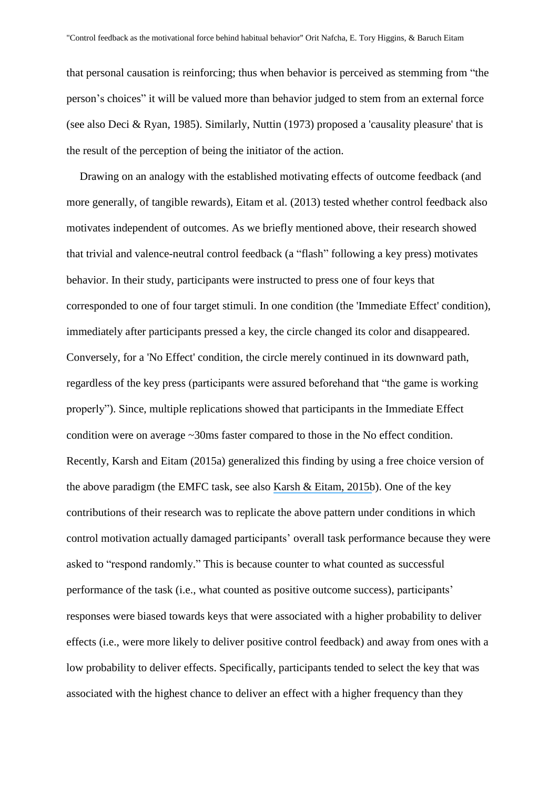that personal causation is reinforcing; thus when behavior is perceived as stemming from "the person's choices" it will be valued more than behavior judged to stem from an external force (see also Deci & Ryan, 1985). Similarly, Nuttin (1973) proposed a 'causality pleasure' that is the result of the perception of being the initiator of the action.

Drawing on an analogy with the established motivating effects of outcome feedback (and more generally, of tangible rewards), Eitam et al. (2013) tested whether control feedback also motivates independent of outcomes. As we briefly mentioned above, their research showed that trivial and valence-neutral control feedback (a "flash" following a key press) motivates behavior. In their study, participants were instructed to press one of four keys that corresponded to one of four target stimuli. In one condition (the 'Immediate Effect' condition), immediately after participants pressed a key, the circle changed its color and disappeared. Conversely, for a 'No Effect' condition, the circle merely continued in its downward path, regardless of the key press (participants were assured beforehand that "the game is working properly"). Since, multiple replications showed that participants in the Immediate Effect condition were on average ~30ms faster compared to those in the No effect condition. Recently, Karsh and Eitam (2015a) generalized this finding by using a free choice version of the above paradigm (the EMFC task, see also [Karsh & Eitam, 2015b](https://www.researchgate.net/publication/278905942_Motivation_from_Control_A_Response_Selection_Framework?el=1_x_8&enrichId=rgreq-d00313c79f497528f4c3d1be325467ee-XXX&enrichSource=Y292ZXJQYWdlOzMwMzcxOTk4NjtBUzozNjgyNDEyOTQ3NTc4ODhAMTQ2NDgwNjk3NDI2MQ==)). One of the key contributions of their research was to replicate the above pattern under conditions in which control motivation actually damaged participants' overall task performance because they were asked to "respond randomly." This is because counter to what counted as successful performance of the task (i.e., what counted as positive outcome success), participants' responses were biased towards keys that were associated with a higher probability to deliver effects (i.e., were more likely to deliver positive control feedback) and away from ones with a low probability to deliver effects. Specifically, participants tended to select the key that was associated with the highest chance to deliver an effect with a higher frequency than they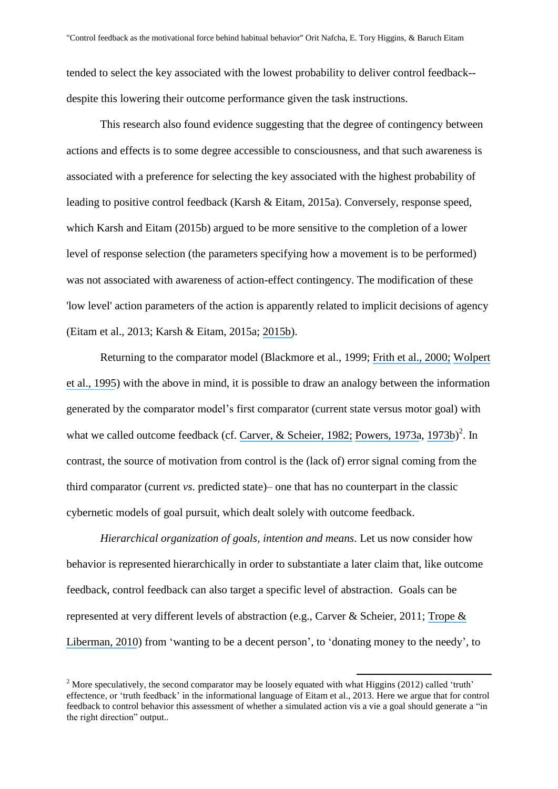tended to select the key associated with the lowest probability to deliver control feedback- despite this lowering their outcome performance given the task instructions.

This research also found evidence suggesting that the degree of contingency between actions and effects is to some degree accessible to consciousness, and that such awareness is associated with a preference for selecting the key associated with the highest probability of leading to positive control feedback (Karsh & Eitam, 2015a). Conversely, response speed, which Karsh and Eitam (2015b) argued to be more sensitive to the completion of a lower level of response selection (the parameters specifying how a movement is to be performed) was not associated with awareness of action-effect contingency. The modification of these 'low level' action parameters of the action is apparently related to implicit decisions of agency (Eitam et al., 2013; Karsh & Eitam, 2015a; [2015b\)](https://www.researchgate.net/publication/278905942_Motivation_from_Control_A_Response_Selection_Framework?el=1_x_8&enrichId=rgreq-d00313c79f497528f4c3d1be325467ee-XXX&enrichSource=Y292ZXJQYWdlOzMwMzcxOTk4NjtBUzozNjgyNDEyOTQ3NTc4ODhAMTQ2NDgwNjk3NDI2MQ==).

Returning to the comparator model (Blackmore et al., 1999; [Frith et al., 2000;](https://www.researchgate.net/publication/12126548_Abnormalities_in_the_Awareness_and_Control_of_Action?el=1_x_8&enrichId=rgreq-d00313c79f497528f4c3d1be325467ee-XXX&enrichSource=Y292ZXJQYWdlOzMwMzcxOTk4NjtBUzozNjgyNDEyOTQ3NTc4ODhAMTQ2NDgwNjk3NDI2MQ==) [Wolpert](https://www.researchgate.net/publication/15629049_An_Internal_Model_for_Sensorimotor_Integration?el=1_x_8&enrichId=rgreq-d00313c79f497528f4c3d1be325467ee-XXX&enrichSource=Y292ZXJQYWdlOzMwMzcxOTk4NjtBUzozNjgyNDEyOTQ3NTc4ODhAMTQ2NDgwNjk3NDI2MQ==) [et al., 1995](https://www.researchgate.net/publication/15629049_An_Internal_Model_for_Sensorimotor_Integration?el=1_x_8&enrichId=rgreq-d00313c79f497528f4c3d1be325467ee-XXX&enrichSource=Y292ZXJQYWdlOzMwMzcxOTk4NjtBUzozNjgyNDEyOTQ3NTc4ODhAMTQ2NDgwNjk3NDI2MQ==)) with the above in mind, it is possible to draw an analogy between the information generated by the comparator model's first comparator (current state versus motor goal) with what we called outcome feedback (cf. [Carver, & Scheier, 1982;](https://www.researchgate.net/publication/16065403_Control_theory_A_useful_conceptual_framework_for_personality-social_clinical_and_health_psychology?el=1_x_8&enrichId=rgreq-d00313c79f497528f4c3d1be325467ee-XXX&enrichSource=Y292ZXJQYWdlOzMwMzcxOTk4NjtBUzozNjgyNDEyOTQ3NTc4ODhAMTQ2NDgwNjk3NDI2MQ==) [Powers, 1973a](https://www.researchgate.net/publication/235344090_Behavior_The_Control_of_Perception?el=1_x_8&enrichId=rgreq-d00313c79f497528f4c3d1be325467ee-XXX&enrichSource=Y292ZXJQYWdlOzMwMzcxOTk4NjtBUzozNjgyNDEyOTQ3NTc4ODhAMTQ2NDgwNjk3NDI2MQ==), [1973b](https://www.researchgate.net/publication/18483263_Feedback_Beyond_behaviorism?el=1_x_8&enrichId=rgreq-d00313c79f497528f4c3d1be325467ee-XXX&enrichSource=Y292ZXJQYWdlOzMwMzcxOTk4NjtBUzozNjgyNDEyOTQ3NTc4ODhAMTQ2NDgwNjk3NDI2MQ==))<sup>2</sup>. In contrast, the source of motivation from control is the (lack of) error signal coming from the third comparator (current *vs*. predicted state)– one that has no counterpart in the classic cybernetic models of goal pursuit, which dealt solely with outcome feedback.

*Hierarchical organization of goals, intention and means*. Let us now consider how behavior is represented hierarchically in order to substantiate a later claim that, like outcome feedback, control feedback can also target a specific level of abstraction. Goals can be represented at very different levels of abstraction (e.g., Carver & Scheier, 2011; [Trope &](https://www.researchgate.net/publication/44569219_Construal-Level_Theory_of_Psychological_Distance?el=1_x_8&enrichId=rgreq-d00313c79f497528f4c3d1be325467ee-XXX&enrichSource=Y292ZXJQYWdlOzMwMzcxOTk4NjtBUzozNjgyNDEyOTQ3NTc4ODhAMTQ2NDgwNjk3NDI2MQ==)  [Liberman, 2010](https://www.researchgate.net/publication/44569219_Construal-Level_Theory_of_Psychological_Distance?el=1_x_8&enrichId=rgreq-d00313c79f497528f4c3d1be325467ee-XXX&enrichSource=Y292ZXJQYWdlOzMwMzcxOTk4NjtBUzozNjgyNDEyOTQ3NTc4ODhAMTQ2NDgwNjk3NDI2MQ==)) from 'wanting to be a decent person', to 'donating money to the needy', to

1

<sup>&</sup>lt;sup>2</sup> More speculatively, the second comparator may be loosely equated with what Higgins (2012) called 'truth' effectence, or 'truth feedback' in the informational language of Eitam et al., 2013. Here we argue that for control feedback to control behavior this assessment of whether a simulated action vis a vie a goal should generate a "in the right direction" output..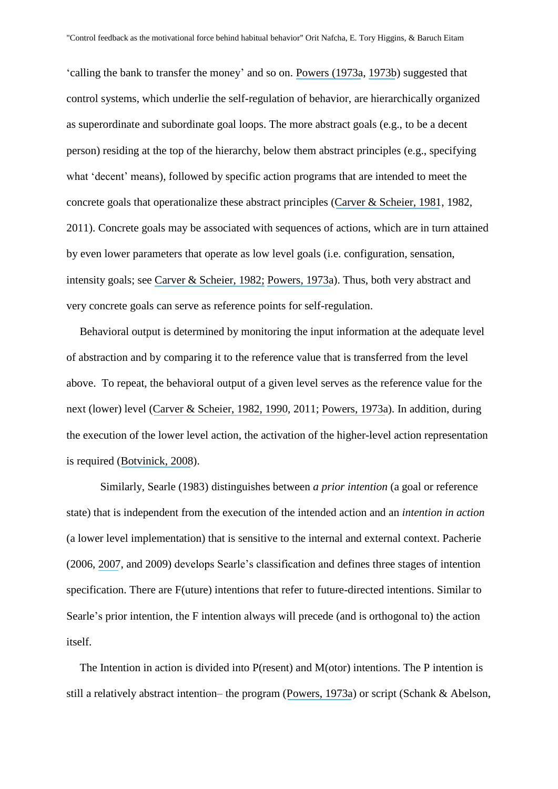'calling the bank to transfer the money' and so on. [Powers](https://www.researchgate.net/publication/235344090_Behavior_The_Control_of_Perception?el=1_x_8&enrichId=rgreq-d00313c79f497528f4c3d1be325467ee-XXX&enrichSource=Y292ZXJQYWdlOzMwMzcxOTk4NjtBUzozNjgyNDEyOTQ3NTc4ODhAMTQ2NDgwNjk3NDI2MQ==) (1973a, [1973b](https://www.researchgate.net/publication/18483263_Feedback_Beyond_behaviorism?el=1_x_8&enrichId=rgreq-d00313c79f497528f4c3d1be325467ee-XXX&enrichSource=Y292ZXJQYWdlOzMwMzcxOTk4NjtBUzozNjgyNDEyOTQ3NTc4ODhAMTQ2NDgwNjk3NDI2MQ==)) suggested that control systems, which underlie the self-regulation of behavior, are hierarchically organized as superordinate and subordinate goal loops. The more abstract goals (e.g., to be a decent person) residing at the top of the hierarchy, below them abstract principles (e.g., specifying what 'decent' means), followed by specific action programs that are intended to meet the concrete goals that operationalize these abstract principles ([Carver & Scheier, 1981](https://www.researchgate.net/publication/222023473_The_self-attention-induced_feedback_loop_and_social_facilitation?el=1_x_8&enrichId=rgreq-d00313c79f497528f4c3d1be325467ee-XXX&enrichSource=Y292ZXJQYWdlOzMwMzcxOTk4NjtBUzozNjgyNDEyOTQ3NTc4ODhAMTQ2NDgwNjk3NDI2MQ==), 1982, 2011). Concrete goals may be associated with sequences of actions, which are in turn attained by even lower parameters that operate as low level goals (i.e. configuration, sensation, intensity goals; see [Carver & Scheier, 1982;](https://www.researchgate.net/publication/16065403_Control_theory_A_useful_conceptual_framework_for_personality-social_clinical_and_health_psychology?el=1_x_8&enrichId=rgreq-d00313c79f497528f4c3d1be325467ee-XXX&enrichSource=Y292ZXJQYWdlOzMwMzcxOTk4NjtBUzozNjgyNDEyOTQ3NTc4ODhAMTQ2NDgwNjk3NDI2MQ==) [Powers, 1973a](https://www.researchgate.net/publication/235344090_Behavior_The_Control_of_Perception?el=1_x_8&enrichId=rgreq-d00313c79f497528f4c3d1be325467ee-XXX&enrichSource=Y292ZXJQYWdlOzMwMzcxOTk4NjtBUzozNjgyNDEyOTQ3NTc4ODhAMTQ2NDgwNjk3NDI2MQ==)). Thus, both very abstract and very concrete goals can serve as reference points for self-regulation.

Behavioral output is determined by monitoring the input information at the adequate level of abstraction and by comparing it to the reference value that is transferred from the level above. To repeat, the behavioral output of a given level serves as the reference value for the next (lower) level ([Carver & Scheier, 1982](https://www.researchgate.net/publication/16065403_Control_theory_A_useful_conceptual_framework_for_personality-social_clinical_and_health_psychology?el=1_x_8&enrichId=rgreq-d00313c79f497528f4c3d1be325467ee-XXX&enrichSource=Y292ZXJQYWdlOzMwMzcxOTk4NjtBUzozNjgyNDEyOTQ3NTc4ODhAMTQ2NDgwNjk3NDI2MQ==)[, 1990](https://www.researchgate.net/publication/280796880_Origins_and_Functions_of_Positive_and_Negative_Affect_A_Control-Process_View?el=1_x_8&enrichId=rgreq-d00313c79f497528f4c3d1be325467ee-XXX&enrichSource=Y292ZXJQYWdlOzMwMzcxOTk4NjtBUzozNjgyNDEyOTQ3NTc4ODhAMTQ2NDgwNjk3NDI2MQ==), 2011; [Powers, 1973a](https://www.researchgate.net/publication/235344090_Behavior_The_Control_of_Perception?el=1_x_8&enrichId=rgreq-d00313c79f497528f4c3d1be325467ee-XXX&enrichSource=Y292ZXJQYWdlOzMwMzcxOTk4NjtBUzozNjgyNDEyOTQ3NTc4ODhAMTQ2NDgwNjk3NDI2MQ==)). In addition, during the execution of the lower level action, the activation of the higher-level action representation is required ([Botvinick, 2008](https://www.researchgate.net/publication/5433128_Hierarchical_models_of_behavior_and_prefrontal_function?el=1_x_8&enrichId=rgreq-d00313c79f497528f4c3d1be325467ee-XXX&enrichSource=Y292ZXJQYWdlOzMwMzcxOTk4NjtBUzozNjgyNDEyOTQ3NTc4ODhAMTQ2NDgwNjk3NDI2MQ==)).

Similarly, Searle (1983) distinguishes between *a prior intention* (a goal or reference state) that is independent from the execution of the intended action and an *intention in action* (a lower level implementation) that is sensitive to the internal and external context. Pacherie (2006, [2007](https://www.researchgate.net/publication/36734398_The_Sense_of_Control_and_the_Sense_of_Agency?el=1_x_8&enrichId=rgreq-d00313c79f497528f4c3d1be325467ee-XXX&enrichSource=Y292ZXJQYWdlOzMwMzcxOTk4NjtBUzozNjgyNDEyOTQ3NTc4ODhAMTQ2NDgwNjk3NDI2MQ==), and 2009) develops Searle's classification and defines three stages of intention specification. There are F(uture) intentions that refer to future-directed intentions. Similar to Searle's prior intention, the F intention always will precede (and is orthogonal to) the action itself.

The Intention in action is divided into P(resent) and M(otor) intentions. The P intention is still a relatively abstract intention– the program ([Powers, 1973a](https://www.researchgate.net/publication/235344090_Behavior_The_Control_of_Perception?el=1_x_8&enrichId=rgreq-d00313c79f497528f4c3d1be325467ee-XXX&enrichSource=Y292ZXJQYWdlOzMwMzcxOTk4NjtBUzozNjgyNDEyOTQ3NTc4ODhAMTQ2NDgwNjk3NDI2MQ==)) or script (Schank & Abelson,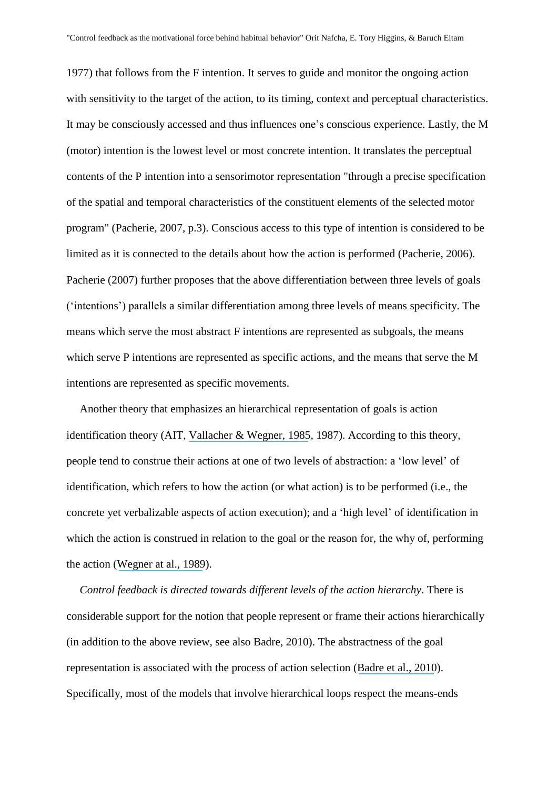1977) that follows from the F intention. It serves to guide and monitor the ongoing action with sensitivity to the target of the action, to its timing, context and perceptual characteristics. It may be consciously accessed and thus influences one's conscious experience. Lastly, the M (motor) intention is the lowest level or most concrete intention. It translates the perceptual contents of the P intention into a sensorimotor representation "through a precise specification of the spatial and temporal characteristics of the constituent elements of the selected motor program" (Pacherie, 2007, p.3). Conscious access to this type of intention is considered to be limited as it is connected to the details about how the action is performed (Pacherie, 2006). Pacherie (2007) further proposes that the above differentiation between three levels of goals ('intentions') parallels a similar differentiation among three levels of means specificity. The means which serve the most abstract F intentions are represented as subgoals, the means which serve P intentions are represented as specific actions, and the means that serve the M intentions are represented as specific movements.

Another theory that emphasizes an hierarchical representation of goals is action identification theory (AIT, [Vallacher & Wegner, 1985](https://www.researchgate.net/publication/236877125_A_Theory_of_Action_Identification?el=1_x_8&enrichId=rgreq-d00313c79f497528f4c3d1be325467ee-XXX&enrichSource=Y292ZXJQYWdlOzMwMzcxOTk4NjtBUzozNjgyNDEyOTQ3NTc4ODhAMTQ2NDgwNjk3NDI2MQ==), 1987). According to this theory, people tend to construe their actions at one of two levels of abstraction: a 'low level' of identification, which refers to how the action (or what action) is to be performed (i.e., the concrete yet verbalizable aspects of action execution); and a 'high level' of identification in which the action is construed in relation to the goal or the reason for, the why of, performing the action ([Wegner at al., 1989](https://www.researchgate.net/publication/233004834_Do_Alcoholics_Know_What_They)).

*Control feedback is directed towards different levels of the action hierarchy*. There is considerable support for the notion that people represent or frame their actions hierarchically (in addition to the above review, see also Badre, 2010). The abstractness of the goal representation is associated with the process of action selection ([Badre et al., 2010](https://www.researchgate.net/publication/43534034_Frontal_Cortex_and_the_Discovery_of_Abstract_Action_Rules?el=1_x_8&enrichId=rgreq-d00313c79f497528f4c3d1be325467ee-XXX&enrichSource=Y292ZXJQYWdlOzMwMzcxOTk4NjtBUzozNjgyNDEyOTQ3NTc4ODhAMTQ2NDgwNjk3NDI2MQ==)). Specifically, most of the models that involve hierarchical loops respect the means-ends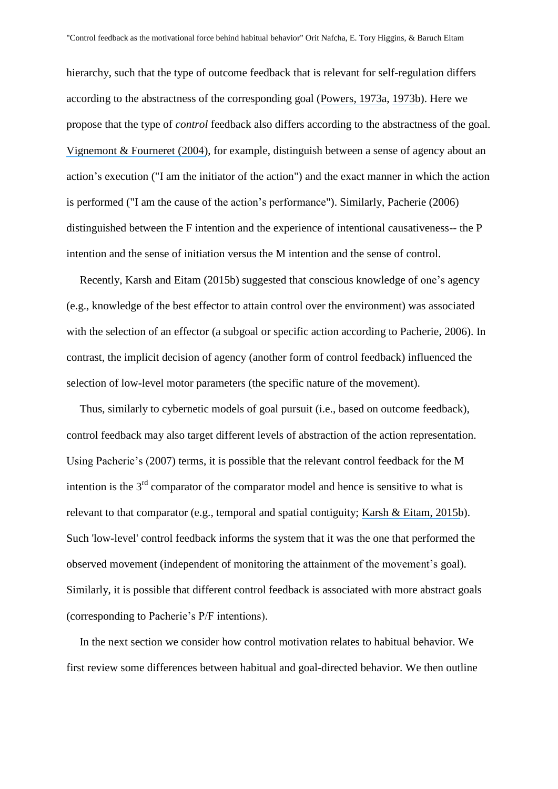hierarchy, such that the type of outcome feedback that is relevant for self-regulation differs according to the abstractness of the corresponding goal ([Powers, 1973a](https://www.researchgate.net/publication/235344090_Behavior_The_Control_of_Perception?el=1_x_8&enrichId=rgreq-d00313c79f497528f4c3d1be325467ee-XXX&enrichSource=Y292ZXJQYWdlOzMwMzcxOTk4NjtBUzozNjgyNDEyOTQ3NTc4ODhAMTQ2NDgwNjk3NDI2MQ==), [1973b](https://www.researchgate.net/publication/18483263_Feedback_Beyond_behaviorism?el=1_x_8&enrichId=rgreq-d00313c79f497528f4c3d1be325467ee-XXX&enrichSource=Y292ZXJQYWdlOzMwMzcxOTk4NjtBUzozNjgyNDEyOTQ3NTc4ODhAMTQ2NDgwNjk3NDI2MQ==)). Here we propose that the type of *control* feedback also differs according to the abstractness of the goal. [Vignemont & Fourneret \(2004\)](https://www.researchgate.net/publication/8009423_The_sense_of_agency_A_philosophical_and_empirical_review_of_the_Who_system?el=1_x_8&enrichId=rgreq-d00313c79f497528f4c3d1be325467ee-XXX&enrichSource=Y292ZXJQYWdlOzMwMzcxOTk4NjtBUzozNjgyNDEyOTQ3NTc4ODhAMTQ2NDgwNjk3NDI2MQ==), for example, distinguish between a sense of agency about an action's execution ("I am the initiator of the action") and the exact manner in which the action is performed ("I am the cause of the action's performance"). Similarly, Pacherie (2006) distinguished between the F intention and the experience of intentional causativeness-- the P intention and the sense of initiation versus the M intention and the sense of control.

Recently, Karsh and Eitam (2015b) suggested that conscious knowledge of one's agency (e.g., knowledge of the best effector to attain control over the environment) was associated with the selection of an effector (a subgoal or specific action according to Pacherie, 2006). In contrast, the implicit decision of agency (another form of control feedback) influenced the selection of low-level motor parameters (the specific nature of the movement).

Thus, similarly to cybernetic models of goal pursuit (i.e., based on outcome feedback), control feedback may also target different levels of abstraction of the action representation. Using Pacherie's (2007) terms, it is possible that the relevant control feedback for the M intention is the  $3<sup>rd</sup>$  comparator of the comparator model and hence is sensitive to what is relevant to that comparator (e.g., temporal and spatial contiguity; [Karsh & Eitam, 2015b](https://www.researchgate.net/publication/278905942_Motivation_from_Control_A_Response_Selection_Framework?el=1_x_8&enrichId=rgreq-d00313c79f497528f4c3d1be325467ee-XXX&enrichSource=Y292ZXJQYWdlOzMwMzcxOTk4NjtBUzozNjgyNDEyOTQ3NTc4ODhAMTQ2NDgwNjk3NDI2MQ==)). Such 'low-level' control feedback informs the system that it was the one that performed the observed movement (independent of monitoring the attainment of the movement's goal). Similarly, it is possible that different control feedback is associated with more abstract goals (corresponding to Pacherie's P/F intentions).

In the next section we consider how control motivation relates to habitual behavior. We first review some differences between habitual and goal-directed behavior. We then outline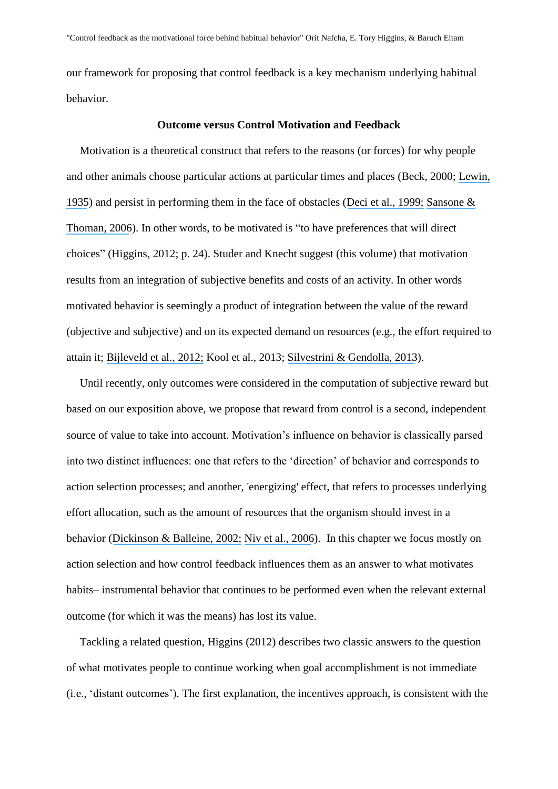our framework for proposing that control feedback is a key mechanism underlying habitual behavior.

#### **Outcome versus Control Motivation and Feedback**

Motivation is a theoretical construct that refers to the reasons (or forces) for why people and other animals choose particular actions at particular times and places (Beck, 2000; [Lewin,](https://www.researchgate.net/publication/232101367_A_Dynamic_Theory_of_Personality_Selected_Papers?el=1_x_8&enrichId=rgreq-d00313c79f497528f4c3d1be325467ee-XXX&enrichSource=Y292ZXJQYWdlOzMwMzcxOTk4NjtBUzozNjgyNDEyOTQ3NTc4ODhAMTQ2NDgwNjk3NDI2MQ==) [1935](https://www.researchgate.net/publication/232101367_A_Dynamic_Theory_of_Personality_Selected_Papers?el=1_x_8&enrichId=rgreq-d00313c79f497528f4c3d1be325467ee-XXX&enrichSource=Y292ZXJQYWdlOzMwMzcxOTk4NjtBUzozNjgyNDEyOTQ3NTc4ODhAMTQ2NDgwNjk3NDI2MQ==)) and persist in performing them in the face of obstacles ([Deci et al., 1999;](https://www.researchgate.net/publication/12712628_A_Meta-Analytic_Review_of_Experiments_Examining_the_Effect_of_Extrinsic_Rewards_on_Intrinsic_Motivation?el=1_x_8&enrichId=rgreq-d00313c79f497528f4c3d1be325467ee-XXX&enrichSource=Y292ZXJQYWdlOzMwMzcxOTk4NjtBUzozNjgyNDEyOTQ3NTc4ODhAMTQ2NDgwNjk3NDI2MQ==) [Sansone &](https://www.researchgate.net/publication/6712712_Maintaining_Activity_Engagement_Individual_Differences_in_the_Process_of_Self-Regulating_Motivation?el=1_x_8&enrichId=rgreq-d00313c79f497528f4c3d1be325467ee-XXX&enrichSource=Y292ZXJQYWdlOzMwMzcxOTk4NjtBUzozNjgyNDEyOTQ3NTc4ODhAMTQ2NDgwNjk3NDI2MQ==)  [Thoman, 2006](https://www.researchgate.net/publication/6712712_Maintaining_Activity_Engagement_Individual_Differences_in_the_Process_of_Self-Regulating_Motivation?el=1_x_8&enrichId=rgreq-d00313c79f497528f4c3d1be325467ee-XXX&enrichSource=Y292ZXJQYWdlOzMwMzcxOTk4NjtBUzozNjgyNDEyOTQ3NTc4ODhAMTQ2NDgwNjk3NDI2MQ==)). In other words, to be motivated is "to have preferences that will direct choices" (Higgins, 2012; p. 24). Studer and Knecht suggest (this volume) that motivation results from an integration of subjective benefits and costs of an activity. In other words motivated behavior is seemingly a product of integration between the value of the reward (objective and subjective) and on its expected demand on resources (e.g., the effort required to attain it; [Bijleveld et al., 2012;](https://www.researchgate.net/publication/223981324_Adaptive_Reward_Pursuit_How_Effort_Requirements_Affect_Unconscious_Reward_Responses_and_Conscious_Reward_Decisions?el=1_x_8&enrichId=rgreq-d00313c79f497528f4c3d1be325467ee-XXX&enrichSource=Y292ZXJQYWdlOzMwMzcxOTk4NjtBUzozNjgyNDEyOTQ3NTc4ODhAMTQ2NDgwNjk3NDI2MQ==) Kool et al., 2013; [Silvestrini & Gendolla, 2013](https://www.researchgate.net/publication/236079622_Automatic_Effort_Mobilization_and_the_Principle_of_Resource_Conservation_One_Can_Only_Prime_the_Possible_and_Justified?el=1_x_8&enrichId=rgreq-d00313c79f497528f4c3d1be325467ee-XXX&enrichSource=Y292ZXJQYWdlOzMwMzcxOTk4NjtBUzozNjgyNDEyOTQ3NTc4ODhAMTQ2NDgwNjk3NDI2MQ==)).

Until recently, only outcomes were considered in the computation of subjective reward but based on our exposition above, we propose that reward from control is a second, independent source of value to take into account. Motivation's influence on behavior is classically parsed into two distinct influences: one that refers to the 'direction' of behavior and corresponds to action selection processes; and another, 'energizing' effect, that refers to processes underlying effort allocation, such as the amount of resources that the organism should invest in a behavior ([Dickinson & Balleine, 2002;](https://www.researchgate.net/publication/229502778_The_Role_of_Learning_in_the_Operation_of_Motivational_Systems?el=1_x_8&enrichId=rgreq-d00313c79f497528f4c3d1be325467ee-XXX&enrichSource=Y292ZXJQYWdlOzMwMzcxOTk4NjtBUzozNjgyNDEyOTQ3NTc4ODhAMTQ2NDgwNjk3NDI2MQ==) [Niv et al., 2006](https://www.researchgate.net/publication/6942779_A_normative_perspective_on_motivation?el=1_x_8&enrichId=rgreq-d00313c79f497528f4c3d1be325467ee-XXX&enrichSource=Y292ZXJQYWdlOzMwMzcxOTk4NjtBUzozNjgyNDEyOTQ3NTc4ODhAMTQ2NDgwNjk3NDI2MQ==)). In this chapter we focus mostly on action selection and how control feedback influences them as an answer to what motivates habits– instrumental behavior that continues to be performed even when the relevant external outcome (for which it was the means) has lost its value.

Tackling a related question, Higgins (2012) describes two classic answers to the question of what motivates people to continue working when goal accomplishment is not immediate (i.e., 'distant outcomes'). The first explanation, the incentives approach, is consistent with the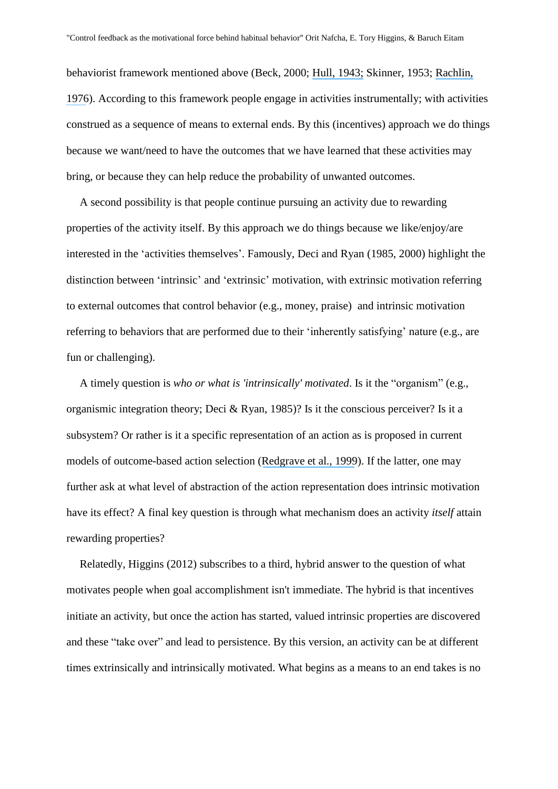behaviorist framework mentioned above (Beck, 2000; Hull, [1943;](https://www.researchgate.net/publication/247251374_Principles_of_Behavior_An_Introduction_To_Behavior_Theory?el=1_x_8&enrichId=rgreq-d00313c79f497528f4c3d1be325467ee-XXX&enrichSource=Y292ZXJQYWdlOzMwMzcxOTk4NjtBUzozNjgyNDEyOTQ3NTc4ODhAMTQ2NDgwNjk3NDI2MQ==) Skinner, 1953; [Rachlin,](https://www.researchgate.net/publication/232440796_Behavior_and_Learning?el=1_x_8&enrichId=rgreq-d00313c79f497528f4c3d1be325467ee-XXX&enrichSource=Y292ZXJQYWdlOzMwMzcxOTk4NjtBUzozNjgyNDEyOTQ3NTc4ODhAMTQ2NDgwNjk3NDI2MQ==) [1976](https://www.researchgate.net/publication/232440796_Behavior_and_Learning?el=1_x_8&enrichId=rgreq-d00313c79f497528f4c3d1be325467ee-XXX&enrichSource=Y292ZXJQYWdlOzMwMzcxOTk4NjtBUzozNjgyNDEyOTQ3NTc4ODhAMTQ2NDgwNjk3NDI2MQ==)). According to this framework people engage in activities instrumentally; with activities construed as a sequence of means to external ends. By this (incentives) approach we do things because we want/need to have the outcomes that we have learned that these activities may bring, or because they can help reduce the probability of unwanted outcomes.

A second possibility is that people continue pursuing an activity due to rewarding properties of the activity itself. By this approach we do things because we like/enjoy/are interested in the 'activities themselves'. Famously, Deci and Ryan (1985, 2000) highlight the distinction between 'intrinsic' and 'extrinsic' motivation, with extrinsic motivation referring to external outcomes that control behavior (e.g., money, praise) and intrinsic motivation referring to behaviors that are performed due to their 'inherently satisfying' nature (e.g., are fun or challenging).

A timely question is *who or what is 'intrinsically' motivated*. Is it the "organism" (e.g., organismic integration theory; Deci & Ryan, 1985)? Is it the conscious perceiver? Is it a subsystem? Or rather is it a specific representation of an action as is proposed in current models of outcome-based action selection ([Redgrave](https://www.researchgate.net/publication/12937270_The_basal_ganglia_A_vertebrate_solution_to_the_selection_problem?el=1_x_8&enrichId=rgreq-d00313c79f497528f4c3d1be325467ee-XXX&enrichSource=Y292ZXJQYWdlOzMwMzcxOTk4NjtBUzozNjgyNDEyOTQ3NTc4ODhAMTQ2NDgwNjk3NDI2MQ==) et al., 1999). If the latter, one may further ask at what level of abstraction of the action representation does intrinsic motivation have its effect? A final key question is through what mechanism does an activity *itself* attain rewarding properties?

Relatedly, Higgins (2012) subscribes to a third, hybrid answer to the question of what motivates people when goal accomplishment isn't immediate. The hybrid is that incentives initiate an activity, but once the action has started, valued intrinsic properties are discovered and these "take over" and lead to persistence. By this version, an activity can be at different times extrinsically and intrinsically motivated. What begins as a means to an end takes is no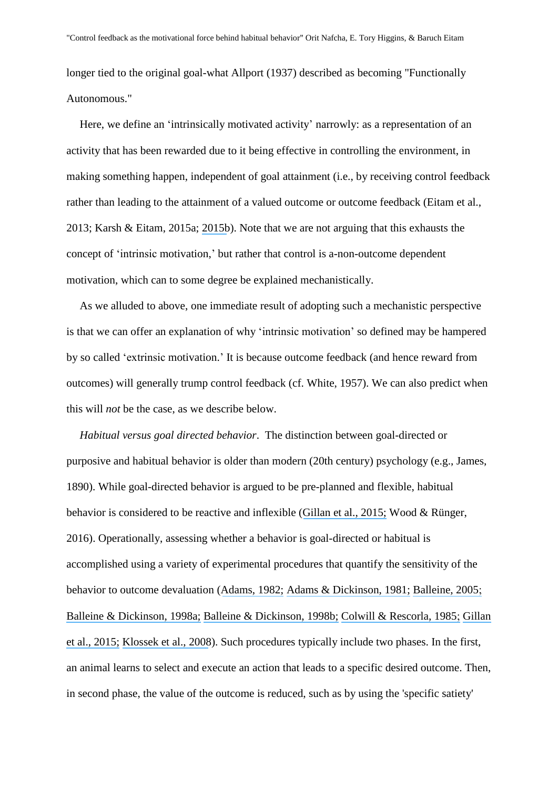longer tied to the original goal-what Allport (1937) described as becoming "Functionally Autonomous."

Here, we define an 'intrinsically motivated activity' narrowly: as a representation of an activity that has been rewarded due to it being effective in controlling the environment, in making something happen, independent of goal attainment (i.e., by receiving control feedback rather than leading to the attainment of a valued outcome or outcome feedback (Eitam et al., 2013; Karsh & Eitam, 2015a; [2015b](https://www.researchgate.net/publication/278905942_Motivation_from_Control_A_Response_Selection_Framework?el=1_x_8&enrichId=rgreq-d00313c79f497528f4c3d1be325467ee-XXX&enrichSource=Y292ZXJQYWdlOzMwMzcxOTk4NjtBUzozNjgyNDEyOTQ3NTc4ODhAMTQ2NDgwNjk3NDI2MQ==)). Note that we are not arguing that this exhausts the concept of 'intrinsic motivation,' but rather that control is a-non-outcome dependent motivation, which can to some degree be explained mechanistically.

As we alluded to above, one immediate result of adopting such a mechanistic perspective is that we can offer an explanation of why 'intrinsic motivation' so defined may be hampered by so called 'extrinsic motivation.' It is because outcome feedback (and hence reward from outcomes) will generally trump control feedback (cf. White, 1957). We can also predict when this will *not* be the case, as we describe below.

*Habitual versus goal directed behavior*. The distinction between goal-directed or purposive and habitual behavior is older than modern (20th century) psychology (e.g., James, 1890). While goal-directed behavior is argued to be pre-planned and flexible, habitual behavior is considered to be reactive and inflexible ([Gillan](https://www.researchgate.net/publication/272826908_Model-based_learning_protects_against_forming_habits?el=1_x_8&enrichId=rgreq-d00313c79f497528f4c3d1be325467ee-XXX&enrichSource=Y292ZXJQYWdlOzMwMzcxOTk4NjtBUzozNjgyNDEyOTQ3NTc4ODhAMTQ2NDgwNjk3NDI2MQ==) et al., 2015; Wood & Rünger, 2016). Operationally, assessing whether a behavior is goal-directed or habitual is accomplished using a variety of experimental procedures that quantify the sensitivity of the behavior to outcome devaluation ([Adams, 1982;](https://www.researchgate.net/publication/240392339_Veriations_in_the_Sensitivity_of_Instrumental_Responding_to_Reinforcer_Develuation?el=1_x_8&enrichId=rgreq-d00313c79f497528f4c3d1be325467ee-XXX&enrichSource=Y292ZXJQYWdlOzMwMzcxOTk4NjtBUzozNjgyNDEyOTQ3NTc4ODhAMTQ2NDgwNjk3NDI2MQ==) [Adams & Dickinson, 1981;](https://www.researchgate.net/publication/239787995_Instrumental_Responding_Following_Reinforcer_Devaluation?el=1_x_8&enrichId=rgreq-d00313c79f497528f4c3d1be325467ee-XXX&enrichSource=Y292ZXJQYWdlOzMwMzcxOTk4NjtBUzozNjgyNDEyOTQ3NTc4ODhAMTQ2NDgwNjk3NDI2MQ==) [Balleine, 2005;](https://www.researchgate.net/publication/7509994_Neural_bases_of_food-seeking_Affect_arousal_and_reward_in_corticostriatolimbic_circuits?el=1_x_8&enrichId=rgreq-d00313c79f497528f4c3d1be325467ee-XXX&enrichSource=Y292ZXJQYWdlOzMwMzcxOTk4NjtBUzozNjgyNDEyOTQ3NTc4ODhAMTQ2NDgwNjk3NDI2MQ==) [Balleine & Dickinson, 1998a;](https://www.researchgate.net/publication/13580282_Goal-Directed_Instrumental_Action_Contingency_and_Incentive_Learning_and_Their_Cortical_Substrates?el=1_x_8&enrichId=rgreq-d00313c79f497528f4c3d1be325467ee-XXX&enrichSource=Y292ZXJQYWdlOzMwMzcxOTk4NjtBUzozNjgyNDEyOTQ3NTc4ODhAMTQ2NDgwNjk3NDI2MQ==) [Balleine & Dickinson, 1998b;](https://www.researchgate.net/publication/225366830_The_role_of_incentive_learning_in_instrumental_outcome_revaluation_by_sensory-specific_satiety?el=1_x_8&enrichId=rgreq-d00313c79f497528f4c3d1be325467ee-XXX&enrichSource=Y292ZXJQYWdlOzMwMzcxOTk4NjtBUzozNjgyNDEyOTQ3NTc4ODhAMTQ2NDgwNjk3NDI2MQ==) Colwill & [Rescorla, 1985;](https://www.researchgate.net/publication/232490167_Postconditioning_Devaluation_of_a_Reinforcer_Affects_Instrumental_Responding?el=1_x_8&enrichId=rgreq-d00313c79f497528f4c3d1be325467ee-XXX&enrichSource=Y292ZXJQYWdlOzMwMzcxOTk4NjtBUzozNjgyNDEyOTQ3NTc4ODhAMTQ2NDgwNjk3NDI2MQ==) [Gillan](https://www.researchgate.net/publication/272826908_Model-based_learning_protects_against_forming_habits?el=1_x_8&enrichId=rgreq-d00313c79f497528f4c3d1be325467ee-XXX&enrichSource=Y292ZXJQYWdlOzMwMzcxOTk4NjtBUzozNjgyNDEyOTQ3NTc4ODhAMTQ2NDgwNjk3NDI2MQ==) [et al., 2015;](https://www.researchgate.net/publication/272826908_Model-based_learning_protects_against_forming_habits?el=1_x_8&enrichId=rgreq-d00313c79f497528f4c3d1be325467ee-XXX&enrichSource=Y292ZXJQYWdlOzMwMzcxOTk4NjtBUzozNjgyNDEyOTQ3NTc4ODhAMTQ2NDgwNjk3NDI2MQ==) [Klossek et al.,](https://www.researchgate.net/publication/5604352_The_Control_of_Instrumental_Action_Following_Outcome_Devaluation_in_Young_Children_Aged_Between_1_and_4_Years?el=1_x_8&enrichId=rgreq-d00313c79f497528f4c3d1be325467ee-XXX&enrichSource=Y292ZXJQYWdlOzMwMzcxOTk4NjtBUzozNjgyNDEyOTQ3NTc4ODhAMTQ2NDgwNjk3NDI2MQ==) 2008). Such procedures typically include two phases. In the first, an animal learns to select and execute an action that leads to a specific desired outcome. Then, in second phase, the value of the outcome is reduced, such as by using the 'specific satiety'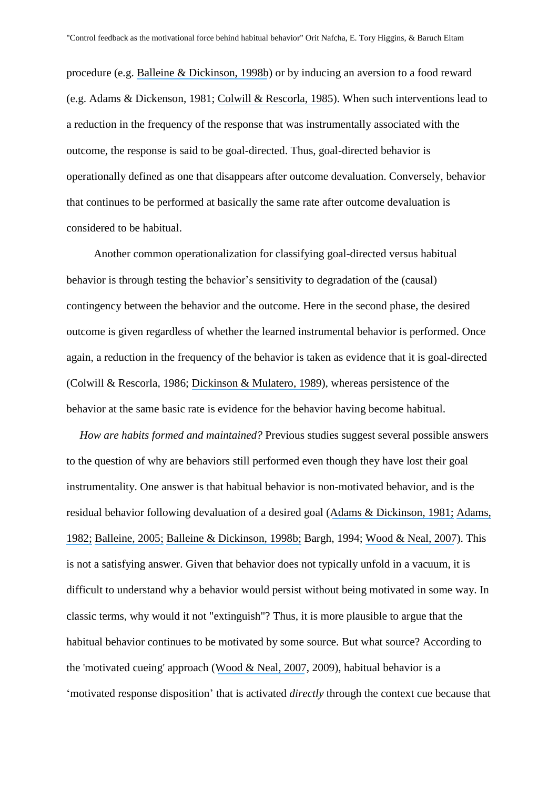procedure (e.g. [Balleine & Dickinson, 1998b](https://www.researchgate.net/publication/225366830_The_role_of_incentive_learning_in_instrumental_outcome_revaluation_by_sensory-specific_satiety?el=1_x_8&enrichId=rgreq-d00313c79f497528f4c3d1be325467ee-XXX&enrichSource=Y292ZXJQYWdlOzMwMzcxOTk4NjtBUzozNjgyNDEyOTQ3NTc4ODhAMTQ2NDgwNjk3NDI2MQ==)) or by inducing an aversion to a food reward (e.g. Adams & Dickenson, 1981; [Colwill & Rescorla, 1985](https://www.researchgate.net/publication/232490167_Postconditioning_Devaluation_of_a_Reinforcer_Affects_Instrumental_Responding?el=1_x_8&enrichId=rgreq-d00313c79f497528f4c3d1be325467ee-XXX&enrichSource=Y292ZXJQYWdlOzMwMzcxOTk4NjtBUzozNjgyNDEyOTQ3NTc4ODhAMTQ2NDgwNjk3NDI2MQ==)). When such interventions lead to a reduction in the frequency of the response that was instrumentally associated with the outcome, the response is said to be goal-directed. Thus, goal-directed behavior is operationally defined as one that disappears after outcome devaluation. Conversely, behavior that continues to be performed at basically the same rate after outcome devaluation is considered to be habitual.

 Another common operationalization for classifying goal-directed versus habitual behavior is through testing the behavior's sensitivity to degradation of the (causal) contingency between the behavior and the outcome. Here in the second phase, the desired outcome is given regardless of whether the learned instrumental behavior is performed. Once again, a reduction in the frequency of the behavior is taken as evidence that it is goal-directed (Colwill & Rescorla, 1986; [Dickinson](https://www.researchgate.net/publication/262844082_Reinforcer_specificity_of_the_suppression_of_instrumental_performance_on_a_non-contingent_schedule?el=1_x_8&enrichId=rgreq-d00313c79f497528f4c3d1be325467ee-XXX&enrichSource=Y292ZXJQYWdlOzMwMzcxOTk4NjtBUzozNjgyNDEyOTQ3NTc4ODhAMTQ2NDgwNjk3NDI2MQ==) & Mulatero, 1989), whereas persistence of the behavior at the same basic rate is evidence for the behavior having become habitual.

*How are habits formed and maintained?* Previous studies suggest several possible answers to the question of why are behaviors still performed even though they have lost their goal instrumentality. One answer is that habitual behavior is non-motivated behavior, and is the residual behavior following devaluation of a desired goal (Adams & [Dickinson,](https://www.researchgate.net/publication/239787995_Instrumental_Responding_Following_Reinforcer_Devaluation?el=1_x_8&enrichId=rgreq-d00313c79f497528f4c3d1be325467ee-XXX&enrichSource=Y292ZXJQYWdlOzMwMzcxOTk4NjtBUzozNjgyNDEyOTQ3NTc4ODhAMTQ2NDgwNjk3NDI2MQ==) 1981; [Adams,](https://www.researchgate.net/publication/240392339_Veriations_in_the_Sensitivity_of_Instrumental_Responding_to_Reinforcer_Develuation?el=1_x_8&enrichId=rgreq-d00313c79f497528f4c3d1be325467ee-XXX&enrichSource=Y292ZXJQYWdlOzMwMzcxOTk4NjtBUzozNjgyNDEyOTQ3NTc4ODhAMTQ2NDgwNjk3NDI2MQ==) [1982;](https://www.researchgate.net/publication/240392339_Veriations_in_the_Sensitivity_of_Instrumental_Responding_to_Reinforcer_Develuation?el=1_x_8&enrichId=rgreq-d00313c79f497528f4c3d1be325467ee-XXX&enrichSource=Y292ZXJQYWdlOzMwMzcxOTk4NjtBUzozNjgyNDEyOTQ3NTc4ODhAMTQ2NDgwNjk3NDI2MQ==) [Balleine,](https://www.researchgate.net/publication/7509994_Neural_bases_of_food-seeking_Affect_arousal_and_reward_in_corticostriatolimbic_circuits?el=1_x_8&enrichId=rgreq-d00313c79f497528f4c3d1be325467ee-XXX&enrichSource=Y292ZXJQYWdlOzMwMzcxOTk4NjtBUzozNjgyNDEyOTQ3NTc4ODhAMTQ2NDgwNjk3NDI2MQ==) 2005; Balleine & [Dickinson,](https://www.researchgate.net/publication/225366830_The_role_of_incentive_learning_in_instrumental_outcome_revaluation_by_sensory-specific_satiety?el=1_x_8&enrichId=rgreq-d00313c79f497528f4c3d1be325467ee-XXX&enrichSource=Y292ZXJQYWdlOzMwMzcxOTk4NjtBUzozNjgyNDEyOTQ3NTc4ODhAMTQ2NDgwNjk3NDI2MQ==) 1998b; Bargh, 1994; [Wood](https://www.researchgate.net/publication/5936907_A_New_Look_at_Habits_and_the_Habit-Goal_Interface?el=1_x_8&enrichId=rgreq-d00313c79f497528f4c3d1be325467ee-XXX&enrichSource=Y292ZXJQYWdlOzMwMzcxOTk4NjtBUzozNjgyNDEyOTQ3NTc4ODhAMTQ2NDgwNjk3NDI2MQ==) & Neal, 2007). This is not a satisfying answer. Given that behavior does not typically unfold in a vacuum, it is difficult to understand why a behavior would persist without being motivated in some way. In classic terms, why would it not "extinguish"? Thus, it is more plausible to argue that the habitual behavior continues to be motivated by some source. But what source? According to the 'motivated cueing' approach ([Wood](https://www.researchgate.net/publication/5936907_A_New_Look_at_Habits_and_the_Habit-Goal_Interface?el=1_x_8&enrichId=rgreq-d00313c79f497528f4c3d1be325467ee-XXX&enrichSource=Y292ZXJQYWdlOzMwMzcxOTk4NjtBUzozNjgyNDEyOTQ3NTc4ODhAMTQ2NDgwNjk3NDI2MQ==) & Neal, 2007, 2009), habitual behavior is a 'motivated response disposition' that is activated *directly* through the context cue because that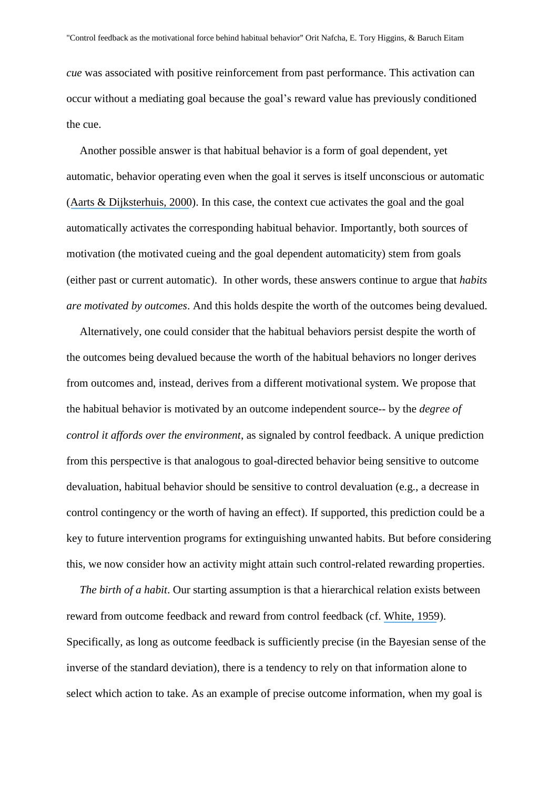*cue* was associated with positive reinforcement from past performance. This activation can occur without a mediating goal because the goal's reward value has previously conditioned the cue.

Another possible answer is that habitual behavior is a form of goal dependent, yet automatic, behavior operating even when the goal it serves is itself unconscious or automatic (Aarts & [Dijksterhuis,](https://www.researchgate.net/publication/292314600_Habits_as_knowledge_structures_Automaticity_in_goal-directed_behavior?el=1_x_8&enrichId=rgreq-d00313c79f497528f4c3d1be325467ee-XXX&enrichSource=Y292ZXJQYWdlOzMwMzcxOTk4NjtBUzozNjgyNDEyOTQ3NTc4ODhAMTQ2NDgwNjk3NDI2MQ==) 2000). In this case, the context cue activates the goal and the goal automatically activates the corresponding habitual behavior. Importantly, both sources of motivation (the motivated cueing and the goal dependent automaticity) stem from goals (either past or current automatic). In other words, these answers continue to argue that *habits are motivated by outcomes*. And this holds despite the worth of the outcomes being devalued.

Alternatively, one could consider that the habitual behaviors persist despite the worth of the outcomes being devalued because the worth of the habitual behaviors no longer derives from outcomes and, instead, derives from a different motivational system. We propose that the habitual behavior is motivated by an outcome independent source-- by the *degree of control it affords over the environment*, as signaled by control feedback. A unique prediction from this perspective is that analogous to goal-directed behavior being sensitive to outcome devaluation, habitual behavior should be sensitive to control devaluation (e.g., a decrease in control contingency or the worth of having an effect). If supported, this prediction could be a key to future intervention programs for extinguishing unwanted habits. But before considering this, we now consider how an activity might attain such control-related rewarding properties.

*The birth of a habit*. Our starting assumption is that a hierarchical relation exists between reward from outcome feedback and reward from control feedback (cf. [White,](https://www.researchgate.net/publication/9723492_Motivation_Reconsidered_The_Concept_Of_Competence?el=1_x_8&enrichId=rgreq-d00313c79f497528f4c3d1be325467ee-XXX&enrichSource=Y292ZXJQYWdlOzMwMzcxOTk4NjtBUzozNjgyNDEyOTQ3NTc4ODhAMTQ2NDgwNjk3NDI2MQ==) 1959). Specifically, as long as outcome feedback is sufficiently precise (in the Bayesian sense of the inverse of the standard deviation), there is a tendency to rely on that information alone to select which action to take. As an example of precise outcome information, when my goal is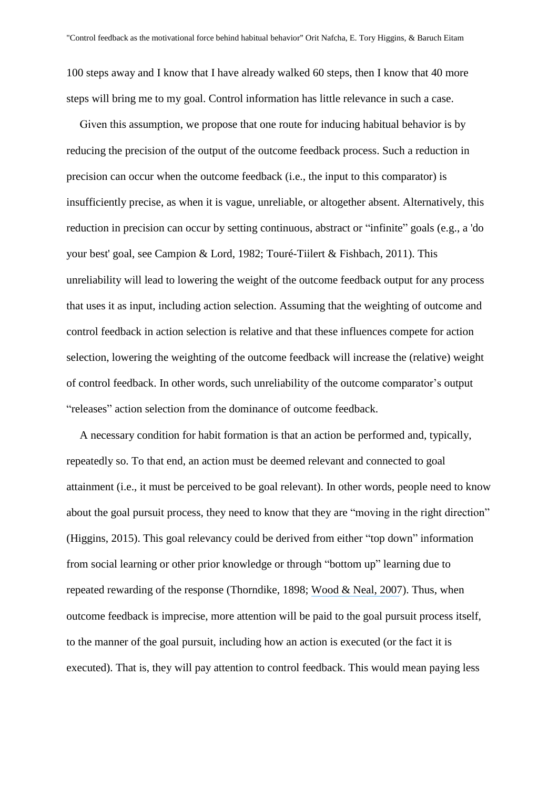100 steps away and I know that I have already walked 60 steps, then I know that 40 more steps will bring me to my goal. Control information has little relevance in such a case.

Given this assumption, we propose that one route for inducing habitual behavior is by reducing the precision of the output of the outcome feedback process. Such a reduction in precision can occur when the outcome feedback (i.e., the input to this comparator) is insufficiently precise, as when it is vague, unreliable, or altogether absent. Alternatively, this reduction in precision can occur by setting continuous, abstract or "infinite" goals (e.g., a 'do your best' goal, see Campion & Lord, 1982; Touré-Tiilert & Fishbach, 2011). This unreliability will lead to lowering the weight of the outcome feedback output for any process that uses it as input, including action selection. Assuming that the weighting of outcome and control feedback in action selection is relative and that these influences compete for action selection, lowering the weighting of the outcome feedback will increase the (relative) weight of control feedback. In other words, such unreliability of the outcome comparator's output "releases" action selection from the dominance of outcome feedback.

A necessary condition for habit formation is that an action be performed and, typically, repeatedly so. To that end, an action must be deemed relevant and connected to goal attainment (i.e., it must be perceived to be goal relevant). In other words, people need to know about the goal pursuit process, they need to know that they are "moving in the right direction" (Higgins, 2015). This goal relevancy could be derived from either "top down" information from social learning or other prior knowledge or through "bottom up" learning due to repeated rewarding of the response (Thorndike, 1898; [Wood](https://www.researchgate.net/publication/5936907_A_New_Look_at_Habits_and_the_Habit-Goal_Interface?el=1_x_8&enrichId=rgreq-d00313c79f497528f4c3d1be325467ee-XXX&enrichSource=Y292ZXJQYWdlOzMwMzcxOTk4NjtBUzozNjgyNDEyOTQ3NTc4ODhAMTQ2NDgwNjk3NDI2MQ==) & Neal, 2007). Thus, when outcome feedback is imprecise, more attention will be paid to the goal pursuit process itself, to the manner of the goal pursuit, including how an action is executed (or the fact it is executed). That is, they will pay attention to control feedback. This would mean paying less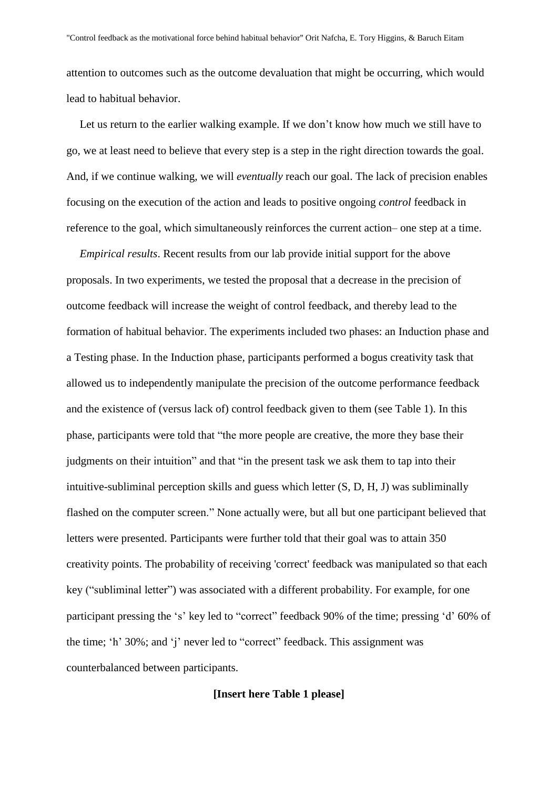attention to outcomes such as the outcome devaluation that might be occurring, which would lead to habitual behavior.

Let us return to the earlier walking example. If we don't know how much we still have to go, we at least need to believe that every step is a step in the right direction towards the goal. And, if we continue walking, we will *eventually* reach our goal. The lack of precision enables focusing on the execution of the action and leads to positive ongoing *control* feedback in reference to the goal, which simultaneously reinforces the current action– one step at a time.

*Empirical results*. Recent results from our lab provide initial support for the above proposals. In two experiments, we tested the proposal that a decrease in the precision of outcome feedback will increase the weight of control feedback, and thereby lead to the formation of habitual behavior. The experiments included two phases: an Induction phase and a Testing phase. In the Induction phase, participants performed a bogus creativity task that allowed us to independently manipulate the precision of the outcome performance feedback and the existence of (versus lack of) control feedback given to them (see Table 1). In this phase, participants were told that "the more people are creative, the more they base their judgments on their intuition" and that "in the present task we ask them to tap into their intuitive-subliminal perception skills and guess which letter (S, D, H, J) was subliminally flashed on the computer screen." None actually were, but all but one participant believed that letters were presented. Participants were further told that their goal was to attain 350 creativity points. The probability of receiving 'correct' feedback was manipulated so that each key ("subliminal letter") was associated with a different probability. For example, for one participant pressing the 's' key led to "correct" feedback 90% of the time; pressing 'd' 60% of the time; 'h' 30%; and 'j' never led to "correct" feedback. This assignment was counterbalanced between participants.

### **[Insert here Table 1 please]**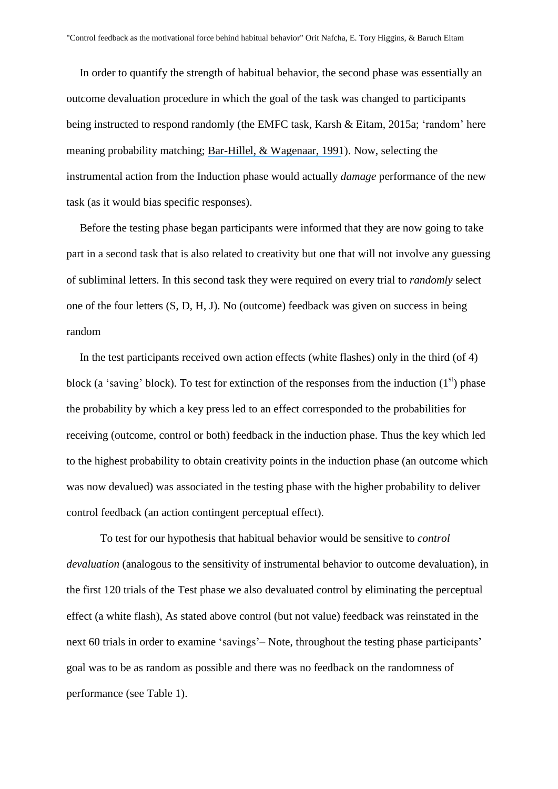In order to quantify the strength of habitual behavior, the second phase was essentially an outcome devaluation procedure in which the goal of the task was changed to participants being instructed to respond randomly (the EMFC task, Karsh & Eitam, 2015a; 'random' here meaning probability matching; Bar-Hillel, & [Wagenaar,](https://www.researchgate.net/publication/223161247_The_Perception_of_Randomness?el=1_x_8&enrichId=rgreq-d00313c79f497528f4c3d1be325467ee-XXX&enrichSource=Y292ZXJQYWdlOzMwMzcxOTk4NjtBUzozNjgyNDEyOTQ3NTc4ODhAMTQ2NDgwNjk3NDI2MQ==) 1991). Now, selecting the instrumental action from the Induction phase would actually *damage* performance of the new task (as it would bias specific responses).

Before the testing phase began participants were informed that they are now going to take part in a second task that is also related to creativity but one that will not involve any guessing of subliminal letters. In this second task they were required on every trial to *randomly* select one of the four letters (S, D, H, J). No (outcome) feedback was given on success in being random

In the test participants received own action effects (white flashes) only in the third (of 4) block (a 'saving' block). To test for extinction of the responses from the induction  $(1<sup>st</sup>)$  phase the probability by which a key press led to an effect corresponded to the probabilities for receiving (outcome, control or both) feedback in the induction phase. Thus the key which led to the highest probability to obtain creativity points in the induction phase (an outcome which was now devalued) was associated in the testing phase with the higher probability to deliver control feedback (an action contingent perceptual effect).

To test for our hypothesis that habitual behavior would be sensitive to *control devaluation* (analogous to the sensitivity of instrumental behavior to outcome devaluation), in the first 120 trials of the Test phase we also devaluated control by eliminating the perceptual effect (a white flash), As stated above control (but not value) feedback was reinstated in the next 60 trials in order to examine 'savings'– Note, throughout the testing phase participants' goal was to be as random as possible and there was no feedback on the randomness of performance (see Table 1).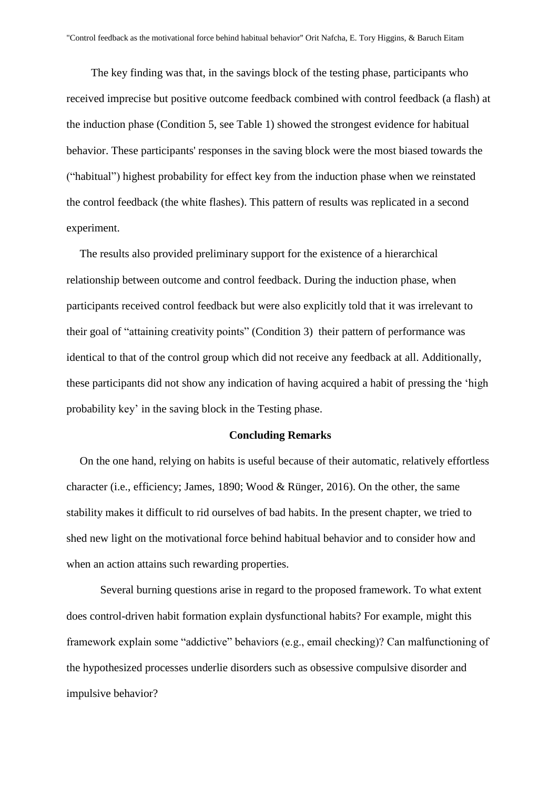The key finding was that, in the savings block of the testing phase, participants who received imprecise but positive outcome feedback combined with control feedback (a flash) at the induction phase (Condition 5, see Table 1) showed the strongest evidence for habitual behavior. These participants' responses in the saving block were the most biased towards the ("habitual") highest probability for effect key from the induction phase when we reinstated the control feedback (the white flashes). This pattern of results was replicated in a second experiment.

The results also provided preliminary support for the existence of a hierarchical relationship between outcome and control feedback. During the induction phase, when participants received control feedback but were also explicitly told that it was irrelevant to their goal of "attaining creativity points" (Condition 3) their pattern of performance was identical to that of the control group which did not receive any feedback at all. Additionally, these participants did not show any indication of having acquired a habit of pressing the 'high probability key' in the saving block in the Testing phase.

#### **Concluding Remarks**

On the one hand, relying on habits is useful because of their automatic, relatively effortless character (i.e., efficiency; James, 1890; Wood & Rünger, 2016). On the other, the same stability makes it difficult to rid ourselves of bad habits. In the present chapter, we tried to shed new light on the motivational force behind habitual behavior and to consider how and when an action attains such rewarding properties.

Several burning questions arise in regard to the proposed framework. To what extent does control-driven habit formation explain dysfunctional habits? For example, might this framework explain some "addictive" behaviors (e.g., email checking)? Can malfunctioning of the hypothesized processes underlie disorders such as obsessive compulsive disorder and impulsive behavior?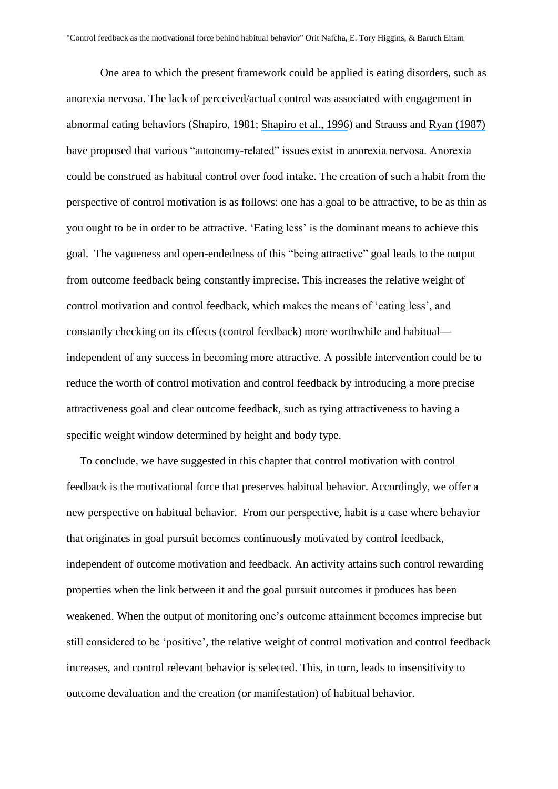One area to which the present framework could be applied is eating disorders, such as anorexia nervosa. The lack of perceived/actual control was associated with engagement in abnormal eating behaviors (Shapiro, 1981; Shapiro [et al., 1996](https://www.researchgate.net/publication/14244299_Controlling_Ourselves_Controlling_Our_World_Psychology)) and Strauss and [Ryan \(1987\)](https://www.researchgate.net/publication/19480701_Autonomy_Disturbances_in_Subtypes_of_Anorexia_Nervosa?el=1_x_8&enrichId=rgreq-d00313c79f497528f4c3d1be325467ee-XXX&enrichSource=Y292ZXJQYWdlOzMwMzcxOTk4NjtBUzozNjgyNDEyOTQ3NTc4ODhAMTQ2NDgwNjk3NDI2MQ==) have proposed that various "autonomy-related" issues exist in anorexia nervosa. Anorexia could be construed as habitual control over food intake. The creation of such a habit from the perspective of control motivation is as follows: one has a goal to be attractive, to be as thin as you ought to be in order to be attractive. 'Eating less' is the dominant means to achieve this goal. The vagueness and open-endedness of this "being attractive" goal leads to the output from outcome feedback being constantly imprecise. This increases the relative weight of control motivation and control feedback, which makes the means of 'eating less', and constantly checking on its effects (control feedback) more worthwhile and habitual independent of any success in becoming more attractive. A possible intervention could be to reduce the worth of control motivation and control feedback by introducing a more precise attractiveness goal and clear outcome feedback, such as tying attractiveness to having a specific weight window determined by height and body type.

To conclude, we have suggested in this chapter that control motivation with control feedback is the motivational force that preserves habitual behavior. Accordingly, we offer a new perspective on habitual behavior. From our perspective, habit is a case where behavior that originates in goal pursuit becomes continuously motivated by control feedback, independent of outcome motivation and feedback. An activity attains such control rewarding properties when the link between it and the goal pursuit outcomes it produces has been weakened. When the output of monitoring one's outcome attainment becomes imprecise but still considered to be 'positive', the relative weight of control motivation and control feedback increases, and control relevant behavior is selected. This, in turn, leads to insensitivity to outcome devaluation and the creation (or manifestation) of habitual behavior.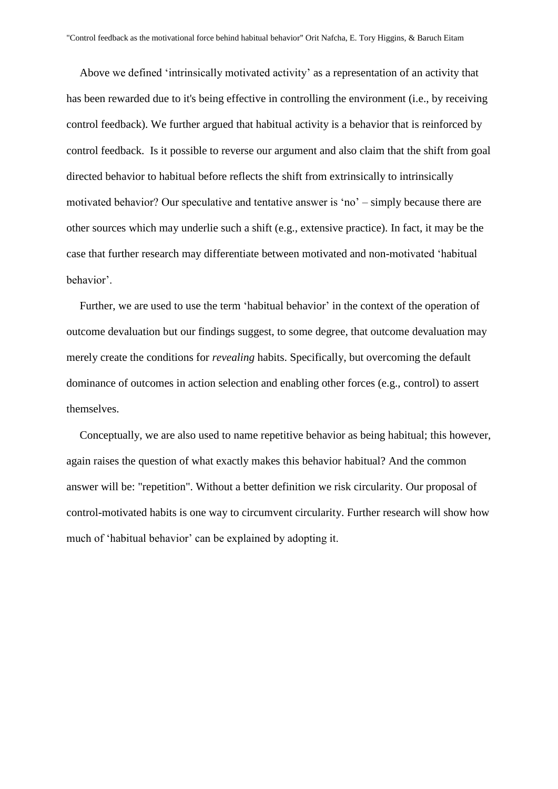Above we defined 'intrinsically motivated activity' as a representation of an activity that has been rewarded due to it's being effective in controlling the environment (i.e., by receiving control feedback). We further argued that habitual activity is a behavior that is reinforced by control feedback. Is it possible to reverse our argument and also claim that the shift from goal directed behavior to habitual before reflects the shift from extrinsically to intrinsically motivated behavior? Our speculative and tentative answer is 'no' – simply because there are other sources which may underlie such a shift (e.g., extensive practice). In fact, it may be the case that further research may differentiate between motivated and non-motivated 'habitual behavior'.

Further, we are used to use the term 'habitual behavior' in the context of the operation of outcome devaluation but our findings suggest, to some degree, that outcome devaluation may merely create the conditions for *revealing* habits. Specifically, but overcoming the default dominance of outcomes in action selection and enabling other forces (e.g., control) to assert themselves.

Conceptually, we are also used to name repetitive behavior as being habitual; this however, again raises the question of what exactly makes this behavior habitual? And the common answer will be: "repetition". Without a better definition we risk circularity. Our proposal of control-motivated habits is one way to circumvent circularity. Further research will show how much of 'habitual behavior' can be explained by adopting it.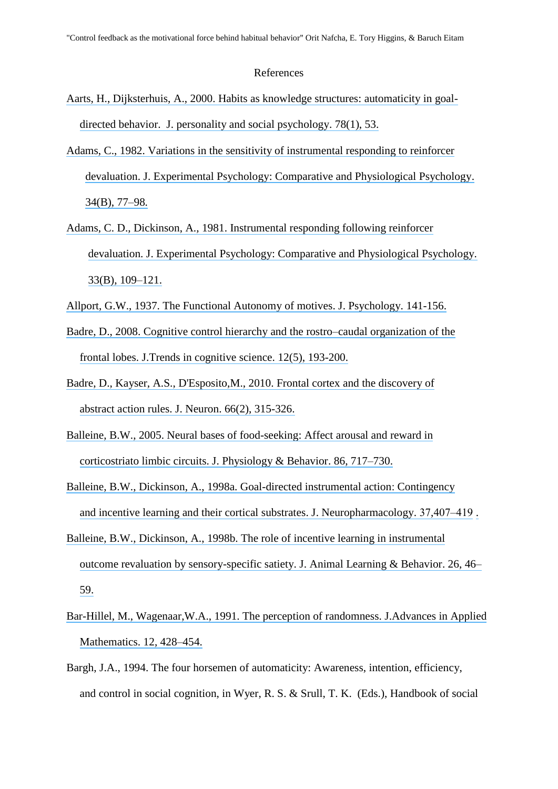#### References

- [Aarts, H., Dijksterhuis, A., 2000. Habits as knowledge structures: automaticity in goal-](https://www.researchgate.net/publication/292314600_Habits_as_knowledge_structures_Automaticity_in_goal-directed_behavior?el=1_x_8&enrichId=rgreq-d00313c79f497528f4c3d1be325467ee-XXX&enrichSource=Y292ZXJQYWdlOzMwMzcxOTk4NjtBUzozNjgyNDEyOTQ3NTc4ODhAMTQ2NDgwNjk3NDI2MQ==)directed behavior. [J. personality and social psychology.](https://www.researchgate.net/publication/292314600_Habits_as_knowledge_structures_Automaticity_in_goal-directed_behavior?el=1_x_8&enrichId=rgreq-d00313c79f497528f4c3d1be325467ee-XXX&enrichSource=Y292ZXJQYWdlOzMwMzcxOTk4NjtBUzozNjgyNDEyOTQ3NTc4ODhAMTQ2NDgwNjk3NDI2MQ==) 78(1), 53.
- [Adams, C., 1982. Variations in the sensitivity of instrumental responding to reinforcer](https://www.researchgate.net/publication/240392339_Veriations_in_the_Sensitivity_of_Instrumental_Responding_to_Reinforcer_Develuation?el=1_x_8&enrichId=rgreq-d00313c79f497528f4c3d1be325467ee-XXX&enrichSource=Y292ZXJQYWdlOzMwMzcxOTk4NjtBUzozNjgyNDEyOTQ3NTc4ODhAMTQ2NDgwNjk3NDI2MQ==) devaluation. J. [Experimental Psychology: Comparative and Physiological Psychology.](https://www.researchgate.net/publication/240392339_Veriations_in_the_Sensitivity_of_Instrumental_Responding_to_Reinforcer_Develuation?el=1_x_8&enrichId=rgreq-d00313c79f497528f4c3d1be325467ee-XXX&enrichSource=Y292ZXJQYWdlOzMwMzcxOTk4NjtBUzozNjgyNDEyOTQ3NTc4ODhAMTQ2NDgwNjk3NDI2MQ==) [34\(B\), 77–98](https://www.researchgate.net/publication/240392339_Veriations_in_the_Sensitivity_of_Instrumental_Responding_to_Reinforcer_Develuation?el=1_x_8&enrichId=rgreq-d00313c79f497528f4c3d1be325467ee-XXX&enrichSource=Y292ZXJQYWdlOzMwMzcxOTk4NjtBUzozNjgyNDEyOTQ3NTc4ODhAMTQ2NDgwNjk3NDI2MQ==)*.*
- [Adams, C. D., Dickinson, A., 1981. Instrumental responding following reinforcer](https://www.researchgate.net/publication/239787995_Instrumental_Responding_Following_Reinforcer_Devaluation?el=1_x_8&enrichId=rgreq-d00313c79f497528f4c3d1be325467ee-XXX&enrichSource=Y292ZXJQYWdlOzMwMzcxOTk4NjtBUzozNjgyNDEyOTQ3NTc4ODhAMTQ2NDgwNjk3NDI2MQ==) devaluation. J. [Experimental Psychology: Comparative and Physiological Psychology](https://www.researchgate.net/publication/239787995_Instrumental_Responding_Following_Reinforcer_Devaluation?el=1_x_8&enrichId=rgreq-d00313c79f497528f4c3d1be325467ee-XXX&enrichSource=Y292ZXJQYWdlOzMwMzcxOTk4NjtBUzozNjgyNDEyOTQ3NTc4ODhAMTQ2NDgwNjk3NDI2MQ==)*.* [33\(B\), 109–121.](https://www.researchgate.net/publication/239787995_Instrumental_Responding_Following_Reinforcer_Devaluation?el=1_x_8&enrichId=rgreq-d00313c79f497528f4c3d1be325467ee-XXX&enrichSource=Y292ZXJQYWdlOzMwMzcxOTk4NjtBUzozNjgyNDEyOTQ3NTc4ODhAMTQ2NDgwNjk3NDI2MQ==)
- [Allport, G.W., 1937. The Functional Autonomy of motives. J. Psychology.](https://www.researchgate.net/publication/287011392_The_functional_autonomy_of_motives?el=1_x_8&enrichId=rgreq-d00313c79f497528f4c3d1be325467ee-XXX&enrichSource=Y292ZXJQYWdlOzMwMzcxOTk4NjtBUzozNjgyNDEyOTQ3NTc4ODhAMTQ2NDgwNjk3NDI2MQ==) 141-156.
- [Badre, D., 2008. Cognitive control hierarchy and the rostro–caudal organization of the](https://www.researchgate.net/publication/5449969_Cognitive_control_hierarchy_and_the_rostro-caudal_organization_of_the_frontal_lobes?el=1_x_8&enrichId=rgreq-d00313c79f497528f4c3d1be325467ee-XXX&enrichSource=Y292ZXJQYWdlOzMwMzcxOTk4NjtBUzozNjgyNDEyOTQ3NTc4ODhAMTQ2NDgwNjk3NDI2MQ==)  frontal lobes. [J.Trends in cognitive science. 12\(5\), 193-200.](https://www.researchgate.net/publication/5449969_Cognitive_control_hierarchy_and_the_rostro-caudal_organization_of_the_frontal_lobes?el=1_x_8&enrichId=rgreq-d00313c79f497528f4c3d1be325467ee-XXX&enrichSource=Y292ZXJQYWdlOzMwMzcxOTk4NjtBUzozNjgyNDEyOTQ3NTc4ODhAMTQ2NDgwNjk3NDI2MQ==)
- [Badre, D., Kayser, A.S., D'Esposito,M., 2010. Frontal cortex and the discovery of](https://www.researchgate.net/publication/43534034_Frontal_Cortex_and_the_Discovery_of_Abstract_Action_Rules?el=1_x_8&enrichId=rgreq-d00313c79f497528f4c3d1be325467ee-XXX&enrichSource=Y292ZXJQYWdlOzMwMzcxOTk4NjtBUzozNjgyNDEyOTQ3NTc4ODhAMTQ2NDgwNjk3NDI2MQ==)  [abstract action rules. J. Neuron.](https://www.researchgate.net/publication/43534034_Frontal_Cortex_and_the_Discovery_of_Abstract_Action_Rules?el=1_x_8&enrichId=rgreq-d00313c79f497528f4c3d1be325467ee-XXX&enrichSource=Y292ZXJQYWdlOzMwMzcxOTk4NjtBUzozNjgyNDEyOTQ3NTc4ODhAMTQ2NDgwNjk3NDI2MQ==) 66(2), 315-326.
- [Balleine, B.W., 2005. Neural bases of food-seeking: Affect arousal and reward in](https://www.researchgate.net/publication/7509994_Neural_bases_of_food-seeking_Affect_arousal_and_reward_in_corticostriatolimbic_circuits?el=1_x_8&enrichId=rgreq-d00313c79f497528f4c3d1be325467ee-XXX&enrichSource=Y292ZXJQYWdlOzMwMzcxOTk4NjtBUzozNjgyNDEyOTQ3NTc4ODhAMTQ2NDgwNjk3NDI2MQ==) [corticostriato limbic circuits. J. Physiology & Behavior.](https://www.researchgate.net/publication/7509994_Neural_bases_of_food-seeking_Affect_arousal_and_reward_in_corticostriatolimbic_circuits?el=1_x_8&enrichId=rgreq-d00313c79f497528f4c3d1be325467ee-XXX&enrichSource=Y292ZXJQYWdlOzMwMzcxOTk4NjtBUzozNjgyNDEyOTQ3NTc4ODhAMTQ2NDgwNjk3NDI2MQ==) 86, 717–730.
- [Balleine, B.W., Dickinson, A., 1998a. Goal-directed instrumental action:](https://www.researchgate.net/publication/13580282_Goal-Directed_Instrumental_Action_Contingency_and_Incentive_Learning_and_Their_Cortical_Substrates?el=1_x_8&enrichId=rgreq-d00313c79f497528f4c3d1be325467ee-XXX&enrichSource=Y292ZXJQYWdlOzMwMzcxOTk4NjtBUzozNjgyNDEyOTQ3NTc4ODhAMTQ2NDgwNjk3NDI2MQ==) Contingency [and incentive learning and their cortical substrates. J. Neuropharmacology.](https://www.researchgate.net/publication/13580282_Goal-Directed_Instrumental_Action_Contingency_and_Incentive_Learning_and_Their_Cortical_Substrates?el=1_x_8&enrichId=rgreq-d00313c79f497528f4c3d1be325467ee-XXX&enrichSource=Y292ZXJQYWdlOzMwMzcxOTk4NjtBUzozNjgyNDEyOTQ3NTc4ODhAMTQ2NDgwNjk3NDI2MQ==) 37,[407–419](https://www.researchgate.net/publication/13580282_Goal-Directed_Instrumental_Action_Contingency_and_Incentive_Learning_and_Their_Cortical_Substrates?el=1_x_8&enrichId=rgreq-d00313c79f497528f4c3d1be325467ee-XXX&enrichSource=Y292ZXJQYWdlOzMwMzcxOTk4NjtBUzozNjgyNDEyOTQ3NTc4ODhAMTQ2NDgwNjk3NDI2MQ==) [.](https://www.researchgate.net/publication/13580282_Goal-Directed_Instrumental_Action_Contingency_and_Incentive_Learning_and_Their_Cortical_Substrates?el=1_x_8&enrichId=rgreq-d00313c79f497528f4c3d1be325467ee-XXX&enrichSource=Y292ZXJQYWdlOzMwMzcxOTk4NjtBUzozNjgyNDEyOTQ3NTc4ODhAMTQ2NDgwNjk3NDI2MQ==)
- [Balleine, B.W., Dickinson, A., 1998b. The role of incentive learning in instrumental](https://www.researchgate.net/publication/225366830_The_role_of_incentive_learning_in_instrumental_outcome_revaluation_by_sensory-specific_satiety?el=1_x_8&enrichId=rgreq-d00313c79f497528f4c3d1be325467ee-XXX&enrichSource=Y292ZXJQYWdlOzMwMzcxOTk4NjtBUzozNjgyNDEyOTQ3NTc4ODhAMTQ2NDgwNjk3NDI2MQ==)  outcome [revaluation by sensory-specific satiety. J. Animal Learning & Behavior.](https://www.researchgate.net/publication/225366830_The_role_of_incentive_learning_in_instrumental_outcome_revaluation_by_sensory-specific_satiety?el=1_x_8&enrichId=rgreq-d00313c79f497528f4c3d1be325467ee-XXX&enrichSource=Y292ZXJQYWdlOzMwMzcxOTk4NjtBUzozNjgyNDEyOTQ3NTc4ODhAMTQ2NDgwNjk3NDI2MQ==) 26, 46– [59.](https://www.researchgate.net/publication/225366830_The_role_of_incentive_learning_in_instrumental_outcome_revaluation_by_sensory-specific_satiety?el=1_x_8&enrichId=rgreq-d00313c79f497528f4c3d1be325467ee-XXX&enrichSource=Y292ZXJQYWdlOzMwMzcxOTk4NjtBUzozNjgyNDEyOTQ3NTc4ODhAMTQ2NDgwNjk3NDI2MQ==)
- [Bar-Hillel, M., Wagenaar,W.A., 1991. The perception of randomness. J.Advances in Applied](https://www.researchgate.net/publication/223161247_The_Perception_of_Randomness?el=1_x_8&enrichId=rgreq-d00313c79f497528f4c3d1be325467ee-XXX&enrichSource=Y292ZXJQYWdlOzMwMzcxOTk4NjtBUzozNjgyNDEyOTQ3NTc4ODhAMTQ2NDgwNjk3NDI2MQ==) [Mathematics.](https://www.researchgate.net/publication/223161247_The_Perception_of_Randomness?el=1_x_8&enrichId=rgreq-d00313c79f497528f4c3d1be325467ee-XXX&enrichSource=Y292ZXJQYWdlOzMwMzcxOTk4NjtBUzozNjgyNDEyOTQ3NTc4ODhAMTQ2NDgwNjk3NDI2MQ==) 12, 428–454.
- Bargh, J.A., 1994. The four horsemen of automaticity: Awareness, intention, efficiency, and control in social cognition, in Wyer, R. S. & Srull, T. K. (Eds.), Handbook of social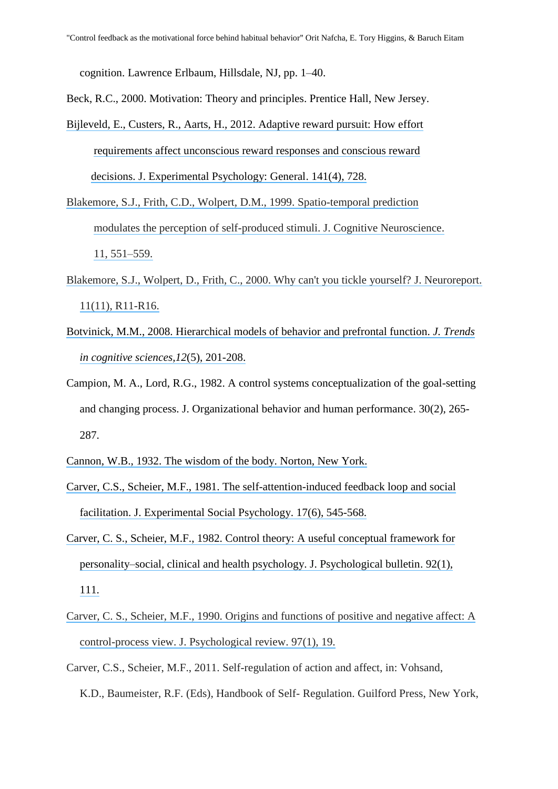cognition. Lawrence Erlbaum, Hillsdale, NJ, pp. 1–40.

Beck, R.C., 2000. Motivation: Theory and principles. Prentice Hall, New Jersey.

- [Bijleveld, E., Custers, R., Aarts, H., 2012. Adaptive reward pursuit: How effort](https://www.researchgate.net/publication/223981324_Adaptive_Reward_Pursuit_How_Effort_Requirements_Affect_Unconscious_Reward_Responses_and_Conscious_Reward_Decisions?el=1_x_8&enrichId=rgreq-d00313c79f497528f4c3d1be325467ee-XXX&enrichSource=Y292ZXJQYWdlOzMwMzcxOTk4NjtBUzozNjgyNDEyOTQ3NTc4ODhAMTQ2NDgwNjk3NDI2MQ==)  [requirements affect unconscious reward responses and conscious reward](https://www.researchgate.net/publication/223981324_Adaptive_Reward_Pursuit_How_Effort_Requirements_Affect_Unconscious_Reward_Responses_and_Conscious_Reward_Decisions?el=1_x_8&enrichId=rgreq-d00313c79f497528f4c3d1be325467ee-XXX&enrichSource=Y292ZXJQYWdlOzMwMzcxOTk4NjtBUzozNjgyNDEyOTQ3NTc4ODhAMTQ2NDgwNjk3NDI2MQ==) decisions. [J. Experimental Psychology: General.](https://www.researchgate.net/publication/223981324_Adaptive_Reward_Pursuit_How_Effort_Requirements_Affect_Unconscious_Reward_Responses_and_Conscious_Reward_Decisions?el=1_x_8&enrichId=rgreq-d00313c79f497528f4c3d1be325467ee-XXX&enrichSource=Y292ZXJQYWdlOzMwMzcxOTk4NjtBUzozNjgyNDEyOTQ3NTc4ODhAMTQ2NDgwNjk3NDI2MQ==) 141(4), 728.
- [Blakemore, S.J., Frith, C.D., Wolpert, D.M., 1999. Spatio-temporal prediction](https://www.researchgate.net/publication/12788126_Spatio-Temporal_Prediction_Modulates_the_Perception_of_Self-Produced_Stimuli?el=1_x_8&enrichId=rgreq-d00313c79f497528f4c3d1be325467ee-XXX&enrichSource=Y292ZXJQYWdlOzMwMzcxOTk4NjtBUzozNjgyNDEyOTQ3NTc4ODhAMTQ2NDgwNjk3NDI2MQ==) [modulates the perception of self-produced stimuli. J. Cognitive Neuroscience.](https://www.researchgate.net/publication/12788126_Spatio-Temporal_Prediction_Modulates_the_Perception_of_Self-Produced_Stimuli?el=1_x_8&enrichId=rgreq-d00313c79f497528f4c3d1be325467ee-XXX&enrichSource=Y292ZXJQYWdlOzMwMzcxOTk4NjtBUzozNjgyNDEyOTQ3NTc4ODhAMTQ2NDgwNjk3NDI2MQ==) [11, 551–559.](https://www.researchgate.net/publication/12788126_Spatio-Temporal_Prediction_Modulates_the_Perception_of_Self-Produced_Stimuli?el=1_x_8&enrichId=rgreq-d00313c79f497528f4c3d1be325467ee-XXX&enrichSource=Y292ZXJQYWdlOzMwMzcxOTk4NjtBUzozNjgyNDEyOTQ3NTc4ODhAMTQ2NDgwNjk3NDI2MQ==)
- [Blakemore, S.J., Wolpert, D., Frith, C., 2000. Why can't you tickle yourself? J. Neuroreport.](https://www.researchgate.net/publication/12376471_Why_can) [11\(11\), R11-R16.](https://www.researchgate.net/publication/12376471_Why_can)
- [Botvinick, M.M., 2008. Hierarchical models of behavior and prefrontal function.](https://www.researchgate.net/publication/5433128_Hierarchical_models_of_behavior_and_prefrontal_function?el=1_x_8&enrichId=rgreq-d00313c79f497528f4c3d1be325467ee-XXX&enrichSource=Y292ZXJQYWdlOzMwMzcxOTk4NjtBUzozNjgyNDEyOTQ3NTc4ODhAMTQ2NDgwNjk3NDI2MQ==) *J. Trends [in cognitive sciences,12](https://www.researchgate.net/publication/5433128_Hierarchical_models_of_behavior_and_prefrontal_function?el=1_x_8&enrichId=rgreq-d00313c79f497528f4c3d1be325467ee-XXX&enrichSource=Y292ZXJQYWdlOzMwMzcxOTk4NjtBUzozNjgyNDEyOTQ3NTc4ODhAMTQ2NDgwNjk3NDI2MQ==)*(5), 201-208.
- Campion, M. A., Lord, R.G., 1982. A control systems conceptualization of the goal-setting and changing process. J. Organizational behavior and human performance. 30(2), 265- 287.
- [Cannon, W.B., 1932. The wisdom of the body. Norton, New York.](https://www.researchgate.net/publication/232597152_The_Wisdom_of_the_Body?el=1_x_8&enrichId=rgreq-d00313c79f497528f4c3d1be325467ee-XXX&enrichSource=Y292ZXJQYWdlOzMwMzcxOTk4NjtBUzozNjgyNDEyOTQ3NTc4ODhAMTQ2NDgwNjk3NDI2MQ==)
- [Carver, C.S., Scheier, M.F., 1981. The self-attention-induced feedback loop and social](https://www.researchgate.net/publication/222023473_The_self-attention-induced_feedback_loop_and_social_facilitation?el=1_x_8&enrichId=rgreq-d00313c79f497528f4c3d1be325467ee-XXX&enrichSource=Y292ZXJQYWdlOzMwMzcxOTk4NjtBUzozNjgyNDEyOTQ3NTc4ODhAMTQ2NDgwNjk3NDI2MQ==) facilitation. J. [Experimental Social Psychology.](https://www.researchgate.net/publication/222023473_The_self-attention-induced_feedback_loop_and_social_facilitation?el=1_x_8&enrichId=rgreq-d00313c79f497528f4c3d1be325467ee-XXX&enrichSource=Y292ZXJQYWdlOzMwMzcxOTk4NjtBUzozNjgyNDEyOTQ3NTc4ODhAMTQ2NDgwNjk3NDI2MQ==) 17(6), 545-568.
- [Carver, C. S., Scheier, M.F., 1982. Control theory: A useful conceptual framework for](https://www.researchgate.net/publication/16065403_Control_theory_A_useful_conceptual_framework_for_personality-social_clinical_and_health_psychology?el=1_x_8&enrichId=rgreq-d00313c79f497528f4c3d1be325467ee-XXX&enrichSource=Y292ZXJQYWdlOzMwMzcxOTk4NjtBUzozNjgyNDEyOTQ3NTc4ODhAMTQ2NDgwNjk3NDI2MQ==)  [personality–social, clinical and health psychology. J. Psychological bulletin.](https://www.researchgate.net/publication/16065403_Control_theory_A_useful_conceptual_framework_for_personality-social_clinical_and_health_psychology?el=1_x_8&enrichId=rgreq-d00313c79f497528f4c3d1be325467ee-XXX&enrichSource=Y292ZXJQYWdlOzMwMzcxOTk4NjtBUzozNjgyNDEyOTQ3NTc4ODhAMTQ2NDgwNjk3NDI2MQ==) 92(1),

[111.](https://www.researchgate.net/publication/16065403_Control_theory_A_useful_conceptual_framework_for_personality-social_clinical_and_health_psychology?el=1_x_8&enrichId=rgreq-d00313c79f497528f4c3d1be325467ee-XXX&enrichSource=Y292ZXJQYWdlOzMwMzcxOTk4NjtBUzozNjgyNDEyOTQ3NTc4ODhAMTQ2NDgwNjk3NDI2MQ==)

- [Carver, C. S., Scheier, M.F., 1990. Origins and functions of positive and negative affect: A](https://www.researchgate.net/publication/280796880_Origins_and_Functions_of_Positive_and_Negative_Affect_A_Control-Process_View?el=1_x_8&enrichId=rgreq-d00313c79f497528f4c3d1be325467ee-XXX&enrichSource=Y292ZXJQYWdlOzMwMzcxOTk4NjtBUzozNjgyNDEyOTQ3NTc4ODhAMTQ2NDgwNjk3NDI2MQ==)  control-process view. [J. Psychological review.](https://www.researchgate.net/publication/280796880_Origins_and_Functions_of_Positive_and_Negative_Affect_A_Control-Process_View?el=1_x_8&enrichId=rgreq-d00313c79f497528f4c3d1be325467ee-XXX&enrichSource=Y292ZXJQYWdlOzMwMzcxOTk4NjtBUzozNjgyNDEyOTQ3NTc4ODhAMTQ2NDgwNjk3NDI2MQ==) 97(1), 19.
- Carver, C.S., Scheier, M.F., 2011. Self-regulation of action and affect, in: Vohsand, K.D., Baumeister, R.F. (Eds), Handbook of Self- Regulation. Guilford Press, New York,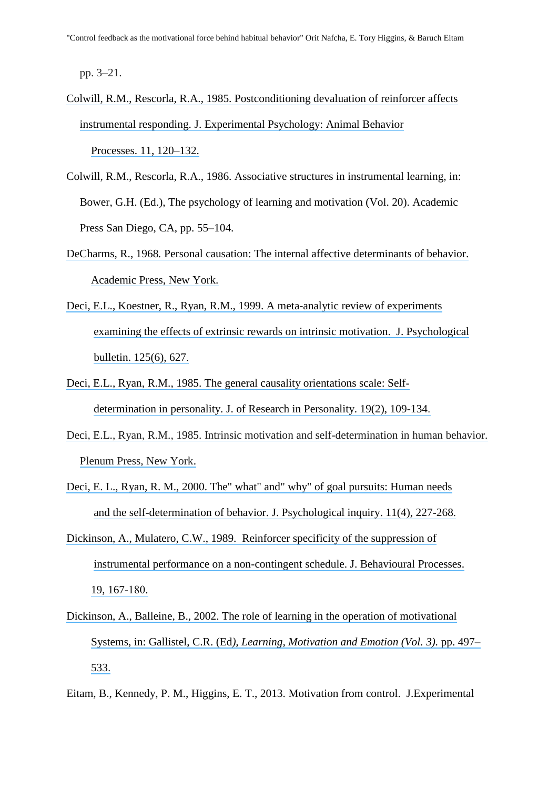pp. 3–21.

- [Colwill, R.M., Rescorla, R.A., 1985. Postconditioning](https://www.researchgate.net/publication/232490167_Postconditioning_Devaluation_of_a_Reinforcer_Affects_Instrumental_Responding?el=1_x_8&enrichId=rgreq-d00313c79f497528f4c3d1be325467ee-XXX&enrichSource=Y292ZXJQYWdlOzMwMzcxOTk4NjtBUzozNjgyNDEyOTQ3NTc4ODhAMTQ2NDgwNjk3NDI2MQ==) devaluation of reinforcer affects instrumental responding. J. [Experimental Psychology: Animal Behavior](https://www.researchgate.net/publication/232490167_Postconditioning_Devaluation_of_a_Reinforcer_Affects_Instrumental_Responding?el=1_x_8&enrichId=rgreq-d00313c79f497528f4c3d1be325467ee-XXX&enrichSource=Y292ZXJQYWdlOzMwMzcxOTk4NjtBUzozNjgyNDEyOTQ3NTc4ODhAMTQ2NDgwNjk3NDI2MQ==)  Processes. [11, 120–132.](https://www.researchgate.net/publication/232490167_Postconditioning_Devaluation_of_a_Reinforcer_Affects_Instrumental_Responding?el=1_x_8&enrichId=rgreq-d00313c79f497528f4c3d1be325467ee-XXX&enrichSource=Y292ZXJQYWdlOzMwMzcxOTk4NjtBUzozNjgyNDEyOTQ3NTc4ODhAMTQ2NDgwNjk3NDI2MQ==)
- Colwill, R.M., Rescorla, R.A., 1986. Associative structures in instrumental learning, in: Bower, G.H. (Ed.), The psychology of learning and motivation (Vol. 20). Academic Press San Diego, CA, pp. 55–104.
- DeCharms, R., 1968*.* [Personal causation: The internal affective determinants of behavior.](https://www.researchgate.net/publication/233897122_Personal_Causation_The_Internal_Affective_Determinants_of_Behavior?el=1_x_8&enrichId=rgreq-d00313c79f497528f4c3d1be325467ee-XXX&enrichSource=Y292ZXJQYWdlOzMwMzcxOTk4NjtBUzozNjgyNDEyOTQ3NTc4ODhAMTQ2NDgwNjk3NDI2MQ==) [Academic Press, New York.](https://www.researchgate.net/publication/233897122_Personal_Causation_The_Internal_Affective_Determinants_of_Behavior?el=1_x_8&enrichId=rgreq-d00313c79f497528f4c3d1be325467ee-XXX&enrichSource=Y292ZXJQYWdlOzMwMzcxOTk4NjtBUzozNjgyNDEyOTQ3NTc4ODhAMTQ2NDgwNjk3NDI2MQ==)
- [Deci, E.L., Koestner, R., Ryan, R.M., 1999. A meta-analytic review of experiments](https://www.researchgate.net/publication/12712628_A_Meta-Analytic_Review_of_Experiments_Examining_the_Effect_of_Extrinsic_Rewards_on_Intrinsic_Motivation?el=1_x_8&enrichId=rgreq-d00313c79f497528f4c3d1be325467ee-XXX&enrichSource=Y292ZXJQYWdlOzMwMzcxOTk4NjtBUzozNjgyNDEyOTQ3NTc4ODhAMTQ2NDgwNjk3NDI2MQ==) [examining the effects of extrinsic rewards on intrinsic motivation. J. Psychological](https://www.researchgate.net/publication/12712628_A_Meta-Analytic_Review_of_Experiments_Examining_the_Effect_of_Extrinsic_Rewards_on_Intrinsic_Motivation?el=1_x_8&enrichId=rgreq-d00313c79f497528f4c3d1be325467ee-XXX&enrichSource=Y292ZXJQYWdlOzMwMzcxOTk4NjtBUzozNjgyNDEyOTQ3NTc4ODhAMTQ2NDgwNjk3NDI2MQ==) bulletin. [125\(6\), 627.](https://www.researchgate.net/publication/12712628_A_Meta-Analytic_Review_of_Experiments_Examining_the_Effect_of_Extrinsic_Rewards_on_Intrinsic_Motivation?el=1_x_8&enrichId=rgreq-d00313c79f497528f4c3d1be325467ee-XXX&enrichSource=Y292ZXJQYWdlOzMwMzcxOTk4NjtBUzozNjgyNDEyOTQ3NTc4ODhAMTQ2NDgwNjk3NDI2MQ==)
- [Deci, E.L., Ryan, R.M., 1985. The general causality orientations scale: Self](https://www.researchgate.net/publication/222439154_The_General_Causality_Orientations_Scale_Self-Determination_in_Personality?el=1_x_8&enrichId=rgreq-d00313c79f497528f4c3d1be325467ee-XXX&enrichSource=Y292ZXJQYWdlOzMwMzcxOTk4NjtBUzozNjgyNDEyOTQ3NTc4ODhAMTQ2NDgwNjk3NDI2MQ==) determination in personality. J. of [Research in Personality. 19\(2\), 109-134.](https://www.researchgate.net/publication/222439154_The_General_Causality_Orientations_Scale_Self-Determination_in_Personality?el=1_x_8&enrichId=rgreq-d00313c79f497528f4c3d1be325467ee-XXX&enrichSource=Y292ZXJQYWdlOzMwMzcxOTk4NjtBUzozNjgyNDEyOTQ3NTc4ODhAMTQ2NDgwNjk3NDI2MQ==)
- [Deci, E.L., Ryan, R.M., 1985. Intrinsic motivation and self-determination in human behavior.](https://www.researchgate.net/publication/233896840_Intrinsic_Motivation_and_Self-Determination_in_Human_Behavior?el=1_x_8&enrichId=rgreq-d00313c79f497528f4c3d1be325467ee-XXX&enrichSource=Y292ZXJQYWdlOzMwMzcxOTk4NjtBUzozNjgyNDEyOTQ3NTc4ODhAMTQ2NDgwNjk3NDI2MQ==)  [Plenum Press, New York.](https://www.researchgate.net/publication/233896840_Intrinsic_Motivation_and_Self-Determination_in_Human_Behavior?el=1_x_8&enrichId=rgreq-d00313c79f497528f4c3d1be325467ee-XXX&enrichSource=Y292ZXJQYWdlOzMwMzcxOTk4NjtBUzozNjgyNDEyOTQ3NTc4ODhAMTQ2NDgwNjk3NDI2MQ==)
- [Deci, E. L., Ryan, R. M., 2000. The" what" and" why" of goal pursuits: Human needs](https://www.researchgate.net/publication/216743170_The_What_and_Why_of_Goal_Pursuits_Human_Needs_and_the_Self-Determination_of_Behavior?el=1_x_8&enrichId=rgreq-d00313c79f497528f4c3d1be325467ee-XXX&enrichSource=Y292ZXJQYWdlOzMwMzcxOTk4NjtBUzozNjgyNDEyOTQ3NTc4ODhAMTQ2NDgwNjk3NDI2MQ==) [and the self-determination of behavior. J. Psychological inquiry.](https://www.researchgate.net/publication/216743170_The_What_and_Why_of_Goal_Pursuits_Human_Needs_and_the_Self-Determination_of_Behavior?el=1_x_8&enrichId=rgreq-d00313c79f497528f4c3d1be325467ee-XXX&enrichSource=Y292ZXJQYWdlOzMwMzcxOTk4NjtBUzozNjgyNDEyOTQ3NTc4ODhAMTQ2NDgwNjk3NDI2MQ==) 11(4), 227-268.
- [Dickinson, A., Mulatero, C.W., 1989. Reinforcer specificity of the suppression of](https://www.researchgate.net/publication/262844082_Reinforcer_specificity_of_the_suppression_of_instrumental_performance_on_a_non-contingent_schedule?el=1_x_8&enrichId=rgreq-d00313c79f497528f4c3d1be325467ee-XXX&enrichSource=Y292ZXJQYWdlOzMwMzcxOTk4NjtBUzozNjgyNDEyOTQ3NTc4ODhAMTQ2NDgwNjk3NDI2MQ==) [instrumental performance on a non-contingent schedule. J. Behavioural](https://www.researchgate.net/publication/262844082_Reinforcer_specificity_of_the_suppression_of_instrumental_performance_on_a_non-contingent_schedule?el=1_x_8&enrichId=rgreq-d00313c79f497528f4c3d1be325467ee-XXX&enrichSource=Y292ZXJQYWdlOzMwMzcxOTk4NjtBUzozNjgyNDEyOTQ3NTc4ODhAMTQ2NDgwNjk3NDI2MQ==) Processes. 19, [167-180.](https://www.researchgate.net/publication/262844082_Reinforcer_specificity_of_the_suppression_of_instrumental_performance_on_a_non-contingent_schedule?el=1_x_8&enrichId=rgreq-d00313c79f497528f4c3d1be325467ee-XXX&enrichSource=Y292ZXJQYWdlOzMwMzcxOTk4NjtBUzozNjgyNDEyOTQ3NTc4ODhAMTQ2NDgwNjk3NDI2MQ==)
- [Dickinson, A., Balleine, B., 2002. The role of learning in the operation of motivational](https://www.researchgate.net/publication/229502778_The_Role_of_Learning_in_the_Operation_of_Motivational_Systems?el=1_x_8&enrichId=rgreq-d00313c79f497528f4c3d1be325467ee-XXX&enrichSource=Y292ZXJQYWdlOzMwMzcxOTk4NjtBUzozNjgyNDEyOTQ3NTc4ODhAMTQ2NDgwNjk3NDI2MQ==) Systems, in: Gallistel, C.R. (Ed*[\), Learning, Motivation and Emotion \(Vol. 3\).](https://www.researchgate.net/publication/229502778_The_Role_of_Learning_in_the_Operation_of_Motivational_Systems?el=1_x_8&enrichId=rgreq-d00313c79f497528f4c3d1be325467ee-XXX&enrichSource=Y292ZXJQYWdlOzMwMzcxOTk4NjtBUzozNjgyNDEyOTQ3NTc4ODhAMTQ2NDgwNjk3NDI2MQ==)* pp. 497– [533.](https://www.researchgate.net/publication/229502778_The_Role_of_Learning_in_the_Operation_of_Motivational_Systems?el=1_x_8&enrichId=rgreq-d00313c79f497528f4c3d1be325467ee-XXX&enrichSource=Y292ZXJQYWdlOzMwMzcxOTk4NjtBUzozNjgyNDEyOTQ3NTc4ODhAMTQ2NDgwNjk3NDI2MQ==)
- Eitam, B., Kennedy, P. M., Higgins, E. T., 2013. Motivation from control. J.Experimental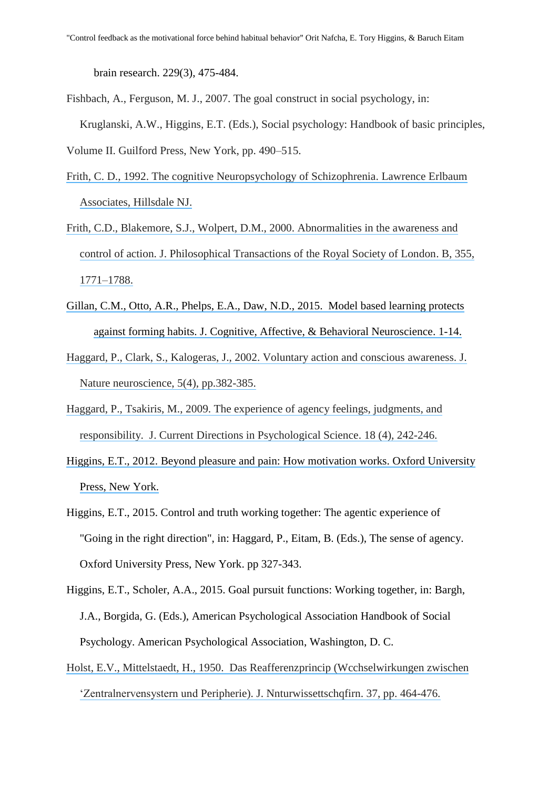brain research. 229(3), 475-484.

- Fishbach, A., Ferguson, M. J., 2007. The goal construct in social psychology, in: Kruglanski, A.W., Higgins, E.T. (Eds.), Social psychology: Handbook of basic principles, Volume II. Guilford Press, New York, pp. 490–515.
- [Frith, C. D., 1992. The cognitive Neuropsychology of Schizophrenia. Lawrence](https://www.researchgate.net/publication/216305371_The_Cognitive_Neuropsychology_of_Schizophrenia?el=1_x_8&enrichId=rgreq-d00313c79f497528f4c3d1be325467ee-XXX&enrichSource=Y292ZXJQYWdlOzMwMzcxOTk4NjtBUzozNjgyNDEyOTQ3NTc4ODhAMTQ2NDgwNjk3NDI2MQ==) Erlbaum [Associates, Hillsdale NJ.](https://www.researchgate.net/publication/216305371_The_Cognitive_Neuropsychology_of_Schizophrenia?el=1_x_8&enrichId=rgreq-d00313c79f497528f4c3d1be325467ee-XXX&enrichSource=Y292ZXJQYWdlOzMwMzcxOTk4NjtBUzozNjgyNDEyOTQ3NTc4ODhAMTQ2NDgwNjk3NDI2MQ==)
- [Frith, C.D., Blakemore, S.J., Wolpert, D.M., 2000. Abnormalities in the awareness and](https://www.researchgate.net/publication/12126548_Abnormalities_in_the_Awareness_and_Control_of_Action?el=1_x_8&enrichId=rgreq-d00313c79f497528f4c3d1be325467ee-XXX&enrichSource=Y292ZXJQYWdlOzMwMzcxOTk4NjtBUzozNjgyNDEyOTQ3NTc4ODhAMTQ2NDgwNjk3NDI2MQ==)  [control of action. J. Philosophical Transactions of the Royal Society of London.](https://www.researchgate.net/publication/12126548_Abnormalities_in_the_Awareness_and_Control_of_Action?el=1_x_8&enrichId=rgreq-d00313c79f497528f4c3d1be325467ee-XXX&enrichSource=Y292ZXJQYWdlOzMwMzcxOTk4NjtBUzozNjgyNDEyOTQ3NTc4ODhAMTQ2NDgwNjk3NDI2MQ==) B, 355, [1771–1788.](https://www.researchgate.net/publication/12126548_Abnormalities_in_the_Awareness_and_Control_of_Action?el=1_x_8&enrichId=rgreq-d00313c79f497528f4c3d1be325467ee-XXX&enrichSource=Y292ZXJQYWdlOzMwMzcxOTk4NjtBUzozNjgyNDEyOTQ3NTc4ODhAMTQ2NDgwNjk3NDI2MQ==)
- [Gillan, C.M., Otto, A.R., Phelps, E.A., Daw, N.D., 2015. Model based learning protects](https://www.researchgate.net/publication/272826908_Model-based_learning_protects_against_forming_habits?el=1_x_8&enrichId=rgreq-d00313c79f497528f4c3d1be325467ee-XXX&enrichSource=Y292ZXJQYWdlOzMwMzcxOTk4NjtBUzozNjgyNDEyOTQ3NTc4ODhAMTQ2NDgwNjk3NDI2MQ==) [against forming habits. J. Cognitive, Affective, & Behavioral Neuroscience.](https://www.researchgate.net/publication/272826908_Model-based_learning_protects_against_forming_habits?el=1_x_8&enrichId=rgreq-d00313c79f497528f4c3d1be325467ee-XXX&enrichSource=Y292ZXJQYWdlOzMwMzcxOTk4NjtBUzozNjgyNDEyOTQ3NTc4ODhAMTQ2NDgwNjk3NDI2MQ==) 1-14.
- [Haggard, P., Clark, S., Kalogeras, J., 2002. Voluntary action and conscious awareness.](https://www.researchgate.net/publication/11467938_Voluntary_Action_and_Conscious_Awareness?el=1_x_8&enrichId=rgreq-d00313c79f497528f4c3d1be325467ee-XXX&enrichSource=Y292ZXJQYWdlOzMwMzcxOTk4NjtBUzozNjgyNDEyOTQ3NTc4ODhAMTQ2NDgwNjk3NDI2MQ==) J. [Nature neuroscience, 5\(4\), pp.382-385.](https://www.researchgate.net/publication/11467938_Voluntary_Action_and_Conscious_Awareness?el=1_x_8&enrichId=rgreq-d00313c79f497528f4c3d1be325467ee-XXX&enrichSource=Y292ZXJQYWdlOzMwMzcxOTk4NjtBUzozNjgyNDEyOTQ3NTc4ODhAMTQ2NDgwNjk3NDI2MQ==)
- [Haggard, P., Tsakiris, M., 2009. The experience of agency feelings, judgments, and](https://www.researchgate.net/publication/237791704_The_Experience_of_AgencyFeelings_Judgments_and_Responsibility?el=1_x_8&enrichId=rgreq-d00313c79f497528f4c3d1be325467ee-XXX&enrichSource=Y292ZXJQYWdlOzMwMzcxOTk4NjtBUzozNjgyNDEyOTQ3NTc4ODhAMTQ2NDgwNjk3NDI2MQ==) responsibility. [J. Current Directions in Psychological Science.](https://www.researchgate.net/publication/237791704_The_Experience_of_AgencyFeelings_Judgments_and_Responsibility?el=1_x_8&enrichId=rgreq-d00313c79f497528f4c3d1be325467ee-XXX&enrichSource=Y292ZXJQYWdlOzMwMzcxOTk4NjtBUzozNjgyNDEyOTQ3NTc4ODhAMTQ2NDgwNjk3NDI2MQ==) 18 (4), 242-246.
- Higgins, E.T., 2012. [Beyond pleasure and pain: How motivation works. Oxford University](https://www.researchgate.net/publication/281665839_Beyond_Pleasure_and_Pain_How_Motivation_Works?el=1_x_8&enrichId=rgreq-d00313c79f497528f4c3d1be325467ee-XXX&enrichSource=Y292ZXJQYWdlOzMwMzcxOTk4NjtBUzozNjgyNDEyOTQ3NTc4ODhAMTQ2NDgwNjk3NDI2MQ==) [Press, New York.](https://www.researchgate.net/publication/281665839_Beyond_Pleasure_and_Pain_How_Motivation_Works?el=1_x_8&enrichId=rgreq-d00313c79f497528f4c3d1be325467ee-XXX&enrichSource=Y292ZXJQYWdlOzMwMzcxOTk4NjtBUzozNjgyNDEyOTQ3NTc4ODhAMTQ2NDgwNjk3NDI2MQ==)
- Higgins, E.T., 2015. Control and truth working together: The agentic experience of "Going in the right direction", in: Haggard, P., Eitam, B. (Eds.), The sense of agency. Oxford University Press, New York. pp 327-343.
- Higgins, E.T., Scholer, A.A., 2015. Goal pursuit functions: Working together, in: Bargh, J.A., Borgida, G. (Eds.), American Psychological Association Handbook of Social Psychology. American Psychological Association, Washington, D. C.
- [Holst, E.V., Mittelstaedt, H., 1950. Das Reafferenzprincip \(Wcchselwirkungen zwischen](https://www.researchgate.net/publication/233813495_Das_Reafferenzprinzip_Wechselwirkung_zwischen_Zentralnervensystem_and_Peripherie?el=1_x_8&enrichId=rgreq-d00313c79f497528f4c3d1be325467ee-XXX&enrichSource=Y292ZXJQYWdlOzMwMzcxOTk4NjtBUzozNjgyNDEyOTQ3NTc4ODhAMTQ2NDgwNjk3NDI2MQ==) ['Zentralnervensystern und Peripherie\). J. Nnturwissettschqfirn. 37, pp. 464-476.](https://www.researchgate.net/publication/233813495_Das_Reafferenzprinzip_Wechselwirkung_zwischen_Zentralnervensystem_and_Peripherie?el=1_x_8&enrichId=rgreq-d00313c79f497528f4c3d1be325467ee-XXX&enrichSource=Y292ZXJQYWdlOzMwMzcxOTk4NjtBUzozNjgyNDEyOTQ3NTc4ODhAMTQ2NDgwNjk3NDI2MQ==)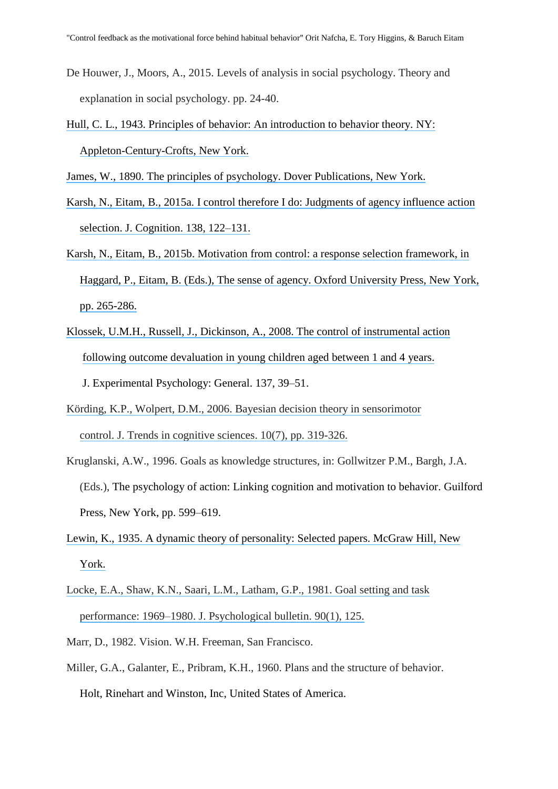- De Houwer, J., Moors, A., 2015. Levels of analysis in social psychology. Theory and explanation in social psychology. pp. 24-40.
- [Hull, C. L., 1943. Principles of behavior: An introduction to behavior theory. NY:](https://www.researchgate.net/publication/247251374_Principles_of_Behavior_An_Introduction_To_Behavior_Theory?el=1_x_8&enrichId=rgreq-d00313c79f497528f4c3d1be325467ee-XXX&enrichSource=Y292ZXJQYWdlOzMwMzcxOTk4NjtBUzozNjgyNDEyOTQ3NTc4ODhAMTQ2NDgwNjk3NDI2MQ==)  [Appleton-Century-Crofts, New York.](https://www.researchgate.net/publication/247251374_Principles_of_Behavior_An_Introduction_To_Behavior_Theory?el=1_x_8&enrichId=rgreq-d00313c79f497528f4c3d1be325467ee-XXX&enrichSource=Y292ZXJQYWdlOzMwMzcxOTk4NjtBUzozNjgyNDEyOTQ3NTc4ODhAMTQ2NDgwNjk3NDI2MQ==)

[James, W., 1890. The principles of psychology. Dover Publications, New York.](https://www.researchgate.net/publication/289710796_Excerpts_from_the_principles_of_psychology?el=1_x_8&enrichId=rgreq-d00313c79f497528f4c3d1be325467ee-XXX&enrichSource=Y292ZXJQYWdlOzMwMzcxOTk4NjtBUzozNjgyNDEyOTQ3NTc4ODhAMTQ2NDgwNjk3NDI2MQ==)

- [Karsh, N., Eitam, B., 2015a. I control therefore I do: Judgments of agency influence action](https://www.researchgate.net/publication/271847767_I_control_therefore_I_do_Judgments_of_agency_influence_action_selection?el=1_x_8&enrichId=rgreq-d00313c79f497528f4c3d1be325467ee-XXX&enrichSource=Y292ZXJQYWdlOzMwMzcxOTk4NjtBUzozNjgyNDEyOTQ3NTc4ODhAMTQ2NDgwNjk3NDI2MQ==) [selection. J. Cognition.](https://www.researchgate.net/publication/271847767_I_control_therefore_I_do_Judgments_of_agency_influence_action_selection?el=1_x_8&enrichId=rgreq-d00313c79f497528f4c3d1be325467ee-XXX&enrichSource=Y292ZXJQYWdlOzMwMzcxOTk4NjtBUzozNjgyNDEyOTQ3NTc4ODhAMTQ2NDgwNjk3NDI2MQ==) 138, 122–131.
- [Karsh, N., Eitam, B., 2015b. Motivation from control: a response selection framework, in](https://www.researchgate.net/publication/278905942_Motivation_from_Control_A_Response_Selection_Framework?el=1_x_8&enrichId=rgreq-d00313c79f497528f4c3d1be325467ee-XXX&enrichSource=Y292ZXJQYWdlOzMwMzcxOTk4NjtBUzozNjgyNDEyOTQ3NTc4ODhAMTQ2NDgwNjk3NDI2MQ==)  [Haggard, P., Eitam, B. \(Eds.\), The sense of agency. Oxford University](https://www.researchgate.net/publication/278905942_Motivation_from_Control_A_Response_Selection_Framework?el=1_x_8&enrichId=rgreq-d00313c79f497528f4c3d1be325467ee-XXX&enrichSource=Y292ZXJQYWdlOzMwMzcxOTk4NjtBUzozNjgyNDEyOTQ3NTc4ODhAMTQ2NDgwNjk3NDI2MQ==) Press, New York, [pp. 265-286.](https://www.researchgate.net/publication/278905942_Motivation_from_Control_A_Response_Selection_Framework?el=1_x_8&enrichId=rgreq-d00313c79f497528f4c3d1be325467ee-XXX&enrichSource=Y292ZXJQYWdlOzMwMzcxOTk4NjtBUzozNjgyNDEyOTQ3NTc4ODhAMTQ2NDgwNjk3NDI2MQ==)
- [Klossek, U.M.H., Russell, J., Dickinson, A., 2008. The control of instrumental action](https://www.researchgate.net/publication/5604352_The_Control_of_Instrumental_Action_Following_Outcome_Devaluation_in_Young_Children_Aged_Between_1_and_4_Years?el=1_x_8&enrichId=rgreq-d00313c79f497528f4c3d1be325467ee-XXX&enrichSource=Y292ZXJQYWdlOzMwMzcxOTk4NjtBUzozNjgyNDEyOTQ3NTc4ODhAMTQ2NDgwNjk3NDI2MQ==) [following outcome devaluation in young children aged between 1 and 4 years.](https://www.researchgate.net/publication/5604352_The_Control_of_Instrumental_Action_Following_Outcome_Devaluation_in_Young_Children_Aged_Between_1_and_4_Years?el=1_x_8&enrichId=rgreq-d00313c79f497528f4c3d1be325467ee-XXX&enrichSource=Y292ZXJQYWdlOzMwMzcxOTk4NjtBUzozNjgyNDEyOTQ3NTc4ODhAMTQ2NDgwNjk3NDI2MQ==)  J. Experimental Psychology: General. 137, 39–51.
- [Körding, K.P., Wolpert, D.M., 2006. Bayesian decision theory in sensorimotor](https://www.researchgate.net/publication/6977770_Bayesian_decision_theory_in_sensorimotor_control?el=1_x_8&enrichId=rgreq-d00313c79f497528f4c3d1be325467ee-XXX&enrichSource=Y292ZXJQYWdlOzMwMzcxOTk4NjtBUzozNjgyNDEyOTQ3NTc4ODhAMTQ2NDgwNjk3NDI2MQ==) [control. J. Trends in cognitive sciences.](https://www.researchgate.net/publication/6977770_Bayesian_decision_theory_in_sensorimotor_control?el=1_x_8&enrichId=rgreq-d00313c79f497528f4c3d1be325467ee-XXX&enrichSource=Y292ZXJQYWdlOzMwMzcxOTk4NjtBUzozNjgyNDEyOTQ3NTc4ODhAMTQ2NDgwNjk3NDI2MQ==) 10(7), pp. 319-326.
- Kruglanski, A.W., 1996. Goals as knowledge structures, in: Gollwitzer P.M., Bargh, J.A. (Eds.), The psychology of action: Linking cognition and motivation to behavior. Guilford Press, New York, pp. 599–619.
- [Lewin, K., 1935. A dynamic theory of personality: Selected papers. McGraw Hill, New](https://www.researchgate.net/publication/232101367_A_Dynamic_Theory_of_Personality_Selected_Papers?el=1_x_8&enrichId=rgreq-d00313c79f497528f4c3d1be325467ee-XXX&enrichSource=Y292ZXJQYWdlOzMwMzcxOTk4NjtBUzozNjgyNDEyOTQ3NTc4ODhAMTQ2NDgwNjk3NDI2MQ==) [York.](https://www.researchgate.net/publication/232101367_A_Dynamic_Theory_of_Personality_Selected_Papers?el=1_x_8&enrichId=rgreq-d00313c79f497528f4c3d1be325467ee-XXX&enrichSource=Y292ZXJQYWdlOzMwMzcxOTk4NjtBUzozNjgyNDEyOTQ3NTc4ODhAMTQ2NDgwNjk3NDI2MQ==)
- [Locke, E.A., Shaw, K.N., Saari, L.M., Latham, G.P., 1981. Goal setting and task](https://www.researchgate.net/publication/232586681_Goal_Setting_and_Task_Performance_1969-1980?el=1_x_8&enrichId=rgreq-d00313c79f497528f4c3d1be325467ee-XXX&enrichSource=Y292ZXJQYWdlOzMwMzcxOTk4NjtBUzozNjgyNDEyOTQ3NTc4ODhAMTQ2NDgwNjk3NDI2MQ==)  [performance: 1969–1980.](https://www.researchgate.net/publication/232586681_Goal_Setting_and_Task_Performance_1969-1980?el=1_x_8&enrichId=rgreq-d00313c79f497528f4c3d1be325467ee-XXX&enrichSource=Y292ZXJQYWdlOzMwMzcxOTk4NjtBUzozNjgyNDEyOTQ3NTc4ODhAMTQ2NDgwNjk3NDI2MQ==) J. Psychological bulletin. 90(1), 125.
- Marr, D., 1982. Vision. W.H. Freeman, San Francisco.
- Miller, G.A., Galanter, E., Pribram, K.H., 1960. Plans and the structure of behavior. Holt, Rinehart and Winston, Inc, United States of America.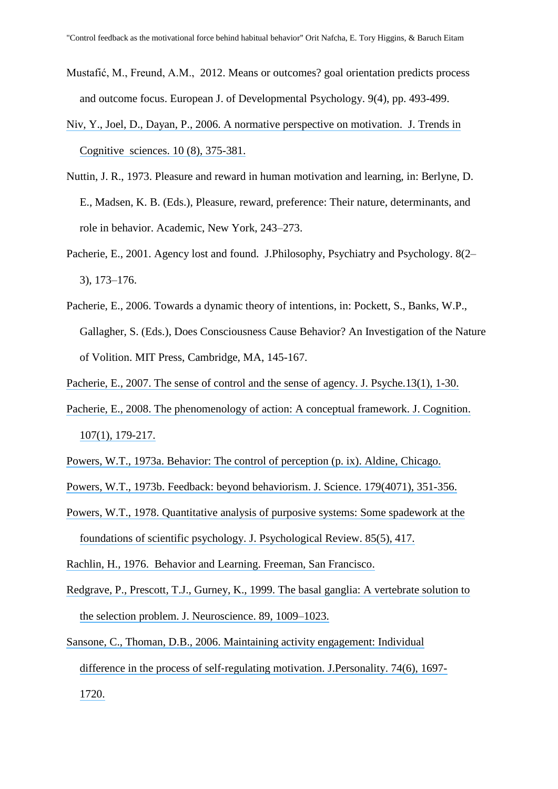- Mustafić, M., Freund, A.M., 2012. Means or outcomes? goal orientation predicts process and outcome focus. European J. of Developmental Psychology. 9(4), pp. 493-499.
- [Niv, Y., Joel, D., Dayan, P., 2006. A normative perspective on motivation. J. Trends in](https://www.researchgate.net/publication/6942779_A_normative_perspective_on_motivation?el=1_x_8&enrichId=rgreq-d00313c79f497528f4c3d1be325467ee-XXX&enrichSource=Y292ZXJQYWdlOzMwMzcxOTk4NjtBUzozNjgyNDEyOTQ3NTc4ODhAMTQ2NDgwNjk3NDI2MQ==)  [Cognitive sciences. 10 \(8\), 375-381.](https://www.researchgate.net/publication/6942779_A_normative_perspective_on_motivation?el=1_x_8&enrichId=rgreq-d00313c79f497528f4c3d1be325467ee-XXX&enrichSource=Y292ZXJQYWdlOzMwMzcxOTk4NjtBUzozNjgyNDEyOTQ3NTc4ODhAMTQ2NDgwNjk3NDI2MQ==)
- Nuttin, J. R., 1973. Pleasure and reward in human motivation and learning, in: Berlyne, D. E., Madsen, K. B. (Eds.), Pleasure, reward, preference: Their nature, determinants, and role in behavior. Academic, New York, 243–273.
- Pacherie, E., 2001. Agency lost and found. J.Philosophy, Psychiatry and Psychology. 8(2– 3), 173–176.
- Pacherie, E., 2006. Towards a dynamic theory of intentions, in: Pockett, S., Banks, W.P., Gallagher, S. (Eds.), Does Consciousness Cause Behavior? An Investigation of the Nature of Volition. MIT Press, Cambridge, MA, 145-167.
- [Pacherie, E., 2007. The sense of control and the sense of agency.](https://www.researchgate.net/publication/36734398_The_Sense_of_Control_and_the_Sense_of_Agency?el=1_x_8&enrichId=rgreq-d00313c79f497528f4c3d1be325467ee-XXX&enrichSource=Y292ZXJQYWdlOzMwMzcxOTk4NjtBUzozNjgyNDEyOTQ3NTc4ODhAMTQ2NDgwNjk3NDI2MQ==) J. Psyche.13(1), 1-30.
- [Pacherie, E., 2008. The phenomenology of action: A conceptual framework. J. Cognition.](https://www.researchgate.net/publication/5894448_The_phenomenology_of_action_A_conceptual_framework?el=1_x_8&enrichId=rgreq-d00313c79f497528f4c3d1be325467ee-XXX&enrichSource=Y292ZXJQYWdlOzMwMzcxOTk4NjtBUzozNjgyNDEyOTQ3NTc4ODhAMTQ2NDgwNjk3NDI2MQ==) [107\(1\), 179-217.](https://www.researchgate.net/publication/5894448_The_phenomenology_of_action_A_conceptual_framework?el=1_x_8&enrichId=rgreq-d00313c79f497528f4c3d1be325467ee-XXX&enrichSource=Y292ZXJQYWdlOzMwMzcxOTk4NjtBUzozNjgyNDEyOTQ3NTc4ODhAMTQ2NDgwNjk3NDI2MQ==)
- [Powers, W.T., 1973a. Behavior: The control of perception \(p. ix\). Aldine, Chicago.](https://www.researchgate.net/publication/235344090_Behavior_The_Control_of_Perception?el=1_x_8&enrichId=rgreq-d00313c79f497528f4c3d1be325467ee-XXX&enrichSource=Y292ZXJQYWdlOzMwMzcxOTk4NjtBUzozNjgyNDEyOTQ3NTc4ODhAMTQ2NDgwNjk3NDI2MQ==)
- [Powers, W.T., 1973b. Feedback: beyond behaviorism.](https://www.researchgate.net/publication/18483263_Feedback_Beyond_behaviorism?el=1_x_8&enrichId=rgreq-d00313c79f497528f4c3d1be325467ee-XXX&enrichSource=Y292ZXJQYWdlOzMwMzcxOTk4NjtBUzozNjgyNDEyOTQ3NTc4ODhAMTQ2NDgwNjk3NDI2MQ==) J. Science. 179(4071), 351-356.
- [Powers, W.T., 1978. Quantitative analysis of purposive systems: Some spadework at the](https://www.researchgate.net/publication/232542274_Quantitative_Analysis_of_Purposive_Systems_Some_Spadework_at_the_Foundations_of_Scientific_Psychology?el=1_x_8&enrichId=rgreq-d00313c79f497528f4c3d1be325467ee-XXX&enrichSource=Y292ZXJQYWdlOzMwMzcxOTk4NjtBUzozNjgyNDEyOTQ3NTc4ODhAMTQ2NDgwNjk3NDI2MQ==) [foundations of scientific psychology.](https://www.researchgate.net/publication/232542274_Quantitative_Analysis_of_Purposive_Systems_Some_Spadework_at_the_Foundations_of_Scientific_Psychology?el=1_x_8&enrichId=rgreq-d00313c79f497528f4c3d1be325467ee-XXX&enrichSource=Y292ZXJQYWdlOzMwMzcxOTk4NjtBUzozNjgyNDEyOTQ3NTc4ODhAMTQ2NDgwNjk3NDI2MQ==) J. Psychological Review. 85(5), 417.
- [Rachlin, H., 1976. Behavior and Learning. Freeman, San Francisco.](https://www.researchgate.net/publication/232440796_Behavior_and_Learning?el=1_x_8&enrichId=rgreq-d00313c79f497528f4c3d1be325467ee-XXX&enrichSource=Y292ZXJQYWdlOzMwMzcxOTk4NjtBUzozNjgyNDEyOTQ3NTc4ODhAMTQ2NDgwNjk3NDI2MQ==)
- [Redgrave, P., Prescott, T.J., Gurney, K., 1999. The basal ganglia: A vertebrate solution to](https://www.researchgate.net/publication/12937270_The_basal_ganglia_A_vertebrate_solution_to_the_selection_problem?el=1_x_8&enrichId=rgreq-d00313c79f497528f4c3d1be325467ee-XXX&enrichSource=Y292ZXJQYWdlOzMwMzcxOTk4NjtBUzozNjgyNDEyOTQ3NTc4ODhAMTQ2NDgwNjk3NDI2MQ==)  [the selection problem. J. Neuroscience.](https://www.researchgate.net/publication/12937270_The_basal_ganglia_A_vertebrate_solution_to_the_selection_problem?el=1_x_8&enrichId=rgreq-d00313c79f497528f4c3d1be325467ee-XXX&enrichSource=Y292ZXJQYWdlOzMwMzcxOTk4NjtBUzozNjgyNDEyOTQ3NTc4ODhAMTQ2NDgwNjk3NDI2MQ==) 89, 1009–1023.
- [Sansone, C., Thoman, D.B., 2006. Maintaining activity engagement: Individual](https://www.researchgate.net/publication/6712712_Maintaining_Activity_Engagement_Individual_Differences_in_the_Process_of_Self-Regulating_Motivation?el=1_x_8&enrichId=rgreq-d00313c79f497528f4c3d1be325467ee-XXX&enrichSource=Y292ZXJQYWdlOzMwMzcxOTk4NjtBUzozNjgyNDEyOTQ3NTc4ODhAMTQ2NDgwNjk3NDI2MQ==)  difference in the process of self‐[regulating motivation.](https://www.researchgate.net/publication/6712712_Maintaining_Activity_Engagement_Individual_Differences_in_the_Process_of_Self-Regulating_Motivation?el=1_x_8&enrichId=rgreq-d00313c79f497528f4c3d1be325467ee-XXX&enrichSource=Y292ZXJQYWdlOzMwMzcxOTk4NjtBUzozNjgyNDEyOTQ3NTc4ODhAMTQ2NDgwNjk3NDI2MQ==) J.Personality. 74(6), 1697- [1720.](https://www.researchgate.net/publication/6712712_Maintaining_Activity_Engagement_Individual_Differences_in_the_Process_of_Self-Regulating_Motivation?el=1_x_8&enrichId=rgreq-d00313c79f497528f4c3d1be325467ee-XXX&enrichSource=Y292ZXJQYWdlOzMwMzcxOTk4NjtBUzozNjgyNDEyOTQ3NTc4ODhAMTQ2NDgwNjk3NDI2MQ==)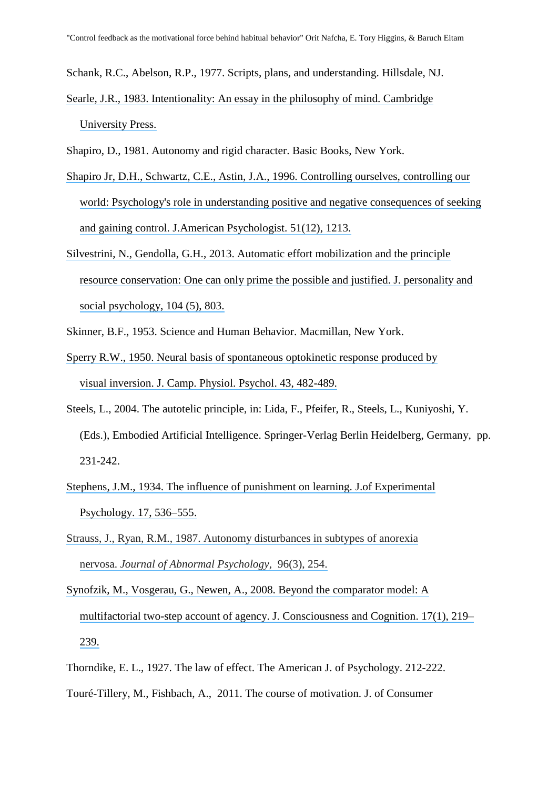Schank, R.C., Abelson, R.P., 1977. Scripts, plans, and understanding. Hillsdale, NJ.

- Searle, J.R., 1983. [Intentionality: An essay in the philosophy of mind. Cambridge](https://www.researchgate.net/publication/271180365_Intentionality_An_Essay_in_the_Philosophy_of_Mind?el=1_x_8&enrichId=rgreq-d00313c79f497528f4c3d1be325467ee-XXX&enrichSource=Y292ZXJQYWdlOzMwMzcxOTk4NjtBUzozNjgyNDEyOTQ3NTc4ODhAMTQ2NDgwNjk3NDI2MQ==) [University Press.](https://www.researchgate.net/publication/271180365_Intentionality_An_Essay_in_the_Philosophy_of_Mind?el=1_x_8&enrichId=rgreq-d00313c79f497528f4c3d1be325467ee-XXX&enrichSource=Y292ZXJQYWdlOzMwMzcxOTk4NjtBUzozNjgyNDEyOTQ3NTc4ODhAMTQ2NDgwNjk3NDI2MQ==)
- Shapiro, D., 1981. Autonomy and rigid character. Basic Books, New York.
- [Shapiro Jr, D.H., Schwartz, C.E., Astin, J.A., 1996. Controlling ourselves, controlling our](https://www.researchgate.net/publication/14244299_Controlling_Ourselves_Controlling_Our_World_Psychology)  [world: Psychology's role in understanding positive and negative consequences of seeking](https://www.researchgate.net/publication/14244299_Controlling_Ourselves_Controlling_Our_World_Psychology)  and gaining control. [J.American Psychologist.](https://www.researchgate.net/publication/14244299_Controlling_Ourselves_Controlling_Our_World_Psychology) 51(12), 1213.
- Silvestrini, N., Gendolla, G.H., 2013. Automatic effort [mobilization](https://www.researchgate.net/publication/236079622_Automatic_Effort_Mobilization_and_the_Principle_of_Resource_Conservation_One_Can_Only_Prime_the_Possible_and_Justified?el=1_x_8&enrichId=rgreq-d00313c79f497528f4c3d1be325467ee-XXX&enrichSource=Y292ZXJQYWdlOzMwMzcxOTk4NjtBUzozNjgyNDEyOTQ3NTc4ODhAMTQ2NDgwNjk3NDI2MQ==) and the principle resource [conservation:](https://www.researchgate.net/publication/236079622_Automatic_Effort_Mobilization_and_the_Principle_of_Resource_Conservation_One_Can_Only_Prime_the_Possible_and_Justified?el=1_x_8&enrichId=rgreq-d00313c79f497528f4c3d1be325467ee-XXX&enrichSource=Y292ZXJQYWdlOzMwMzcxOTk4NjtBUzozNjgyNDEyOTQ3NTc4ODhAMTQ2NDgwNjk3NDI2MQ==) One can only prime the possible and justified. J. personality and social [psychology,](https://www.researchgate.net/publication/236079622_Automatic_Effort_Mobilization_and_the_Principle_of_Resource_Conservation_One_Can_Only_Prime_the_Possible_and_Justified?el=1_x_8&enrichId=rgreq-d00313c79f497528f4c3d1be325467ee-XXX&enrichSource=Y292ZXJQYWdlOzMwMzcxOTk4NjtBUzozNjgyNDEyOTQ3NTc4ODhAMTQ2NDgwNjk3NDI2MQ==) 104 (5), 803.
- Skinner, B.F., 1953. Science and Human Behavior. Macmillan, New York.
- [Sperry R.W., 1950. Neural basis of spontaneous optokinetic response produced by](https://www.researchgate.net/publication/8855144_Neural_basis_of_the_spontaneous_optokinetic_response_produced_by_visual_inversion?el=1_x_8&enrichId=rgreq-d00313c79f497528f4c3d1be325467ee-XXX&enrichSource=Y292ZXJQYWdlOzMwMzcxOTk4NjtBUzozNjgyNDEyOTQ3NTc4ODhAMTQ2NDgwNjk3NDI2MQ==)  visual [inversion. J. Camp. Physiol. Psychol.](https://www.researchgate.net/publication/8855144_Neural_basis_of_the_spontaneous_optokinetic_response_produced_by_visual_inversion?el=1_x_8&enrichId=rgreq-d00313c79f497528f4c3d1be325467ee-XXX&enrichSource=Y292ZXJQYWdlOzMwMzcxOTk4NjtBUzozNjgyNDEyOTQ3NTc4ODhAMTQ2NDgwNjk3NDI2MQ==) 43, 482-489.
- Steels, L., 2004. The autotelic principle, in: Lida, F., Pfeifer, R., Steels, L., Kuniyoshi, Y. (Eds.), Embodied Artificial Intelligence. Springer-Verlag Berlin Heidelberg, Germany, pp. 231-242.
- [Stephens, J.M., 1934. The influence of punishment on learning. J.of](https://www.researchgate.net/publication/232600176_The_influence_of_punishment_on_learning?el=1_x_8&enrichId=rgreq-d00313c79f497528f4c3d1be325467ee-XXX&enrichSource=Y292ZXJQYWdlOzMwMzcxOTk4NjtBUzozNjgyNDEyOTQ3NTc4ODhAMTQ2NDgwNjk3NDI2MQ==) Experimental Psychology. [17, 536–555.](https://www.researchgate.net/publication/232600176_The_influence_of_punishment_on_learning?el=1_x_8&enrichId=rgreq-d00313c79f497528f4c3d1be325467ee-XXX&enrichSource=Y292ZXJQYWdlOzMwMzcxOTk4NjtBUzozNjgyNDEyOTQ3NTc4ODhAMTQ2NDgwNjk3NDI2MQ==)
- [Strauss, J., Ryan, R.M., 1987. Autonomy disturbances in subtypes of anorexia](https://www.researchgate.net/publication/19480701_Autonomy_Disturbances_in_Subtypes_of_Anorexia_Nervosa?el=1_x_8&enrichId=rgreq-d00313c79f497528f4c3d1be325467ee-XXX&enrichSource=Y292ZXJQYWdlOzMwMzcxOTk4NjtBUzozNjgyNDEyOTQ3NTc4ODhAMTQ2NDgwNjk3NDI2MQ==) nervosa. *[Journal of Abnormal Psychology](https://www.researchgate.net/publication/19480701_Autonomy_Disturbances_in_Subtypes_of_Anorexia_Nervosa?el=1_x_8&enrichId=rgreq-d00313c79f497528f4c3d1be325467ee-XXX&enrichSource=Y292ZXJQYWdlOzMwMzcxOTk4NjtBUzozNjgyNDEyOTQ3NTc4ODhAMTQ2NDgwNjk3NDI2MQ==)*, 96(3), 254.
- [Synofzik, M., Vosgerau, G., Newen, A., 2008. Beyond the comparator model: A](https://www.researchgate.net/publication/6349870_Beyond_the_comparator_model_A_multifactorial_two-step_account_of_agency?el=1_x_8&enrichId=rgreq-d00313c79f497528f4c3d1be325467ee-XXX&enrichSource=Y292ZXJQYWdlOzMwMzcxOTk4NjtBUzozNjgyNDEyOTQ3NTc4ODhAMTQ2NDgwNjk3NDI2MQ==) [multifactorial two-step account of agency. J. Consciousness and Cognition. 17\(1\), 219–](https://www.researchgate.net/publication/6349870_Beyond_the_comparator_model_A_multifactorial_two-step_account_of_agency?el=1_x_8&enrichId=rgreq-d00313c79f497528f4c3d1be325467ee-XXX&enrichSource=Y292ZXJQYWdlOzMwMzcxOTk4NjtBUzozNjgyNDEyOTQ3NTc4ODhAMTQ2NDgwNjk3NDI2MQ==) [239.](https://www.researchgate.net/publication/6349870_Beyond_the_comparator_model_A_multifactorial_two-step_account_of_agency?el=1_x_8&enrichId=rgreq-d00313c79f497528f4c3d1be325467ee-XXX&enrichSource=Y292ZXJQYWdlOzMwMzcxOTk4NjtBUzozNjgyNDEyOTQ3NTc4ODhAMTQ2NDgwNjk3NDI2MQ==)
- Thorndike, E. L., 1927. The law of effect. The American J. of Psychology. 212-222.
- Touré-Tillery, M., Fishbach, A., 2011. The course of motivation. J. of Consumer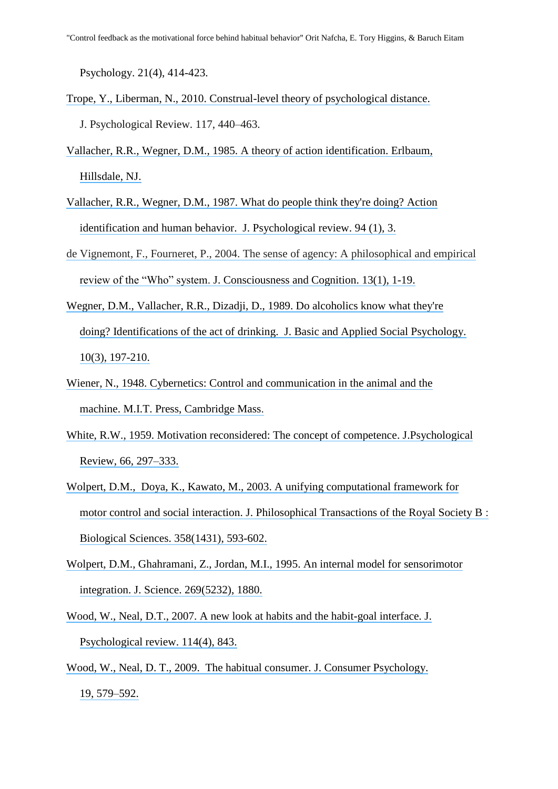Psychology. 21(4), 414-423.

- [Trope, Y., Liberman, N., 2010. Construal-level theory of psychological distance.](https://www.researchgate.net/publication/44569219_Construal-Level_Theory_of_Psychological_Distance?el=1_x_8&enrichId=rgreq-d00313c79f497528f4c3d1be325467ee-XXX&enrichSource=Y292ZXJQYWdlOzMwMzcxOTk4NjtBUzozNjgyNDEyOTQ3NTc4ODhAMTQ2NDgwNjk3NDI2MQ==) J. Psychological Review. 117, 440–463.
- [Vallacher, R.R., Wegner, D.M., 1985. A theory of action identification. Erlbaum,](https://www.researchgate.net/publication/236877125_A_Theory_of_Action_Identification?el=1_x_8&enrichId=rgreq-d00313c79f497528f4c3d1be325467ee-XXX&enrichSource=Y292ZXJQYWdlOzMwMzcxOTk4NjtBUzozNjgyNDEyOTQ3NTc4ODhAMTQ2NDgwNjk3NDI2MQ==)  [Hillsdale, NJ.](https://www.researchgate.net/publication/236877125_A_Theory_of_Action_Identification?el=1_x_8&enrichId=rgreq-d00313c79f497528f4c3d1be325467ee-XXX&enrichSource=Y292ZXJQYWdlOzMwMzcxOTk4NjtBUzozNjgyNDEyOTQ3NTc4ODhAMTQ2NDgwNjk3NDI2MQ==)
- [Vallacher, R.R., Wegner, D.M., 1987. What do people think they're doing? Action](https://www.researchgate.net/publication/232481843_What_Do_People_Think_They) [identification and human behavior.](https://www.researchgate.net/publication/232481843_What_Do_People_Think_They) J. Psychological review. 94 (1), 3.
- [de Vignemont, F., Fourneret, P., 2004. The sense of agency: A philosophical and empirical](https://www.researchgate.net/publication/8009423_The_sense_of_agency_A_philosophical_and_empirical_review_of_the_Who_system?el=1_x_8&enrichId=rgreq-d00313c79f497528f4c3d1be325467ee-XXX&enrichSource=Y292ZXJQYWdlOzMwMzcxOTk4NjtBUzozNjgyNDEyOTQ3NTc4ODhAMTQ2NDgwNjk3NDI2MQ==)  review of the "Who" system. [J. Consciousness and Cognition.](https://www.researchgate.net/publication/8009423_The_sense_of_agency_A_philosophical_and_empirical_review_of_the_Who_system?el=1_x_8&enrichId=rgreq-d00313c79f497528f4c3d1be325467ee-XXX&enrichSource=Y292ZXJQYWdlOzMwMzcxOTk4NjtBUzozNjgyNDEyOTQ3NTc4ODhAMTQ2NDgwNjk3NDI2MQ==) 13(1), 1-19.
- [Wegner, D.M., Vallacher, R.R., Dizadji, D., 1989. Do alcoholics know what they're](https://www.researchgate.net/publication/233004834_Do_Alcoholics_Know_What_They) doing? Identifications of the act of [drinking. J. Basic and Applied Social Psychology.](https://www.researchgate.net/publication/233004834_Do_Alcoholics_Know_What_They) [10\(3\), 197-210.](https://www.researchgate.net/publication/233004834_Do_Alcoholics_Know_What_They)
- [Wiener, N., 1948. Cybernetics: Control and communication in the animal and the](https://www.researchgate.net/publication/30876155_Cybernetics_or_Control_and_Communication_in_the_Animal_and_the_Machine_2nd_ed?el=1_x_8&enrichId=rgreq-d00313c79f497528f4c3d1be325467ee-XXX&enrichSource=Y292ZXJQYWdlOzMwMzcxOTk4NjtBUzozNjgyNDEyOTQ3NTc4ODhAMTQ2NDgwNjk3NDI2MQ==)  [machine. M.I.T. Press, Cambridge Mass.](https://www.researchgate.net/publication/30876155_Cybernetics_or_Control_and_Communication_in_the_Animal_and_the_Machine_2nd_ed?el=1_x_8&enrichId=rgreq-d00313c79f497528f4c3d1be325467ee-XXX&enrichSource=Y292ZXJQYWdlOzMwMzcxOTk4NjtBUzozNjgyNDEyOTQ3NTc4ODhAMTQ2NDgwNjk3NDI2MQ==)
- [White, R.W., 1959. Motivation reconsidered: The concept of competence. J.Psychological](https://www.researchgate.net/publication/9723492_Motivation_Reconsidered_The_Concept_Of_Competence?el=1_x_8&enrichId=rgreq-d00313c79f497528f4c3d1be325467ee-XXX&enrichSource=Y292ZXJQYWdlOzMwMzcxOTk4NjtBUzozNjgyNDEyOTQ3NTc4ODhAMTQ2NDgwNjk3NDI2MQ==)  [Review, 66, 297–333.](https://www.researchgate.net/publication/9723492_Motivation_Reconsidered_The_Concept_Of_Competence?el=1_x_8&enrichId=rgreq-d00313c79f497528f4c3d1be325467ee-XXX&enrichSource=Y292ZXJQYWdlOzMwMzcxOTk4NjtBUzozNjgyNDEyOTQ3NTc4ODhAMTQ2NDgwNjk3NDI2MQ==)
- [Wolpert, D.M., Doya, K., Kawato, M., 2003. A unifying computational framework for](https://www.researchgate.net/publication/10810904_A_unifying_computational_framework_for_motor_control_and_social_interaction?el=1_x_8&enrichId=rgreq-d00313c79f497528f4c3d1be325467ee-XXX&enrichSource=Y292ZXJQYWdlOzMwMzcxOTk4NjtBUzozNjgyNDEyOTQ3NTc4ODhAMTQ2NDgwNjk3NDI2MQ==) motor control and social interaction. J. [Philosophical Transactions of the Royal Society B :](https://www.researchgate.net/publication/10810904_A_unifying_computational_framework_for_motor_control_and_social_interaction?el=1_x_8&enrichId=rgreq-d00313c79f497528f4c3d1be325467ee-XXX&enrichSource=Y292ZXJQYWdlOzMwMzcxOTk4NjtBUzozNjgyNDEyOTQ3NTc4ODhAMTQ2NDgwNjk3NDI2MQ==) Biological Sciences. [358\(1431\), 593-602.](https://www.researchgate.net/publication/10810904_A_unifying_computational_framework_for_motor_control_and_social_interaction?el=1_x_8&enrichId=rgreq-d00313c79f497528f4c3d1be325467ee-XXX&enrichSource=Y292ZXJQYWdlOzMwMzcxOTk4NjtBUzozNjgyNDEyOTQ3NTc4ODhAMTQ2NDgwNjk3NDI2MQ==)
- [Wolpert, D.M., Ghahramani, Z., Jordan, M.I., 1995. An internal model for sensorimotor](https://www.researchgate.net/publication/15629049_An_Internal_Model_for_Sensorimotor_Integration?el=1_x_8&enrichId=rgreq-d00313c79f497528f4c3d1be325467ee-XXX&enrichSource=Y292ZXJQYWdlOzMwMzcxOTk4NjtBUzozNjgyNDEyOTQ3NTc4ODhAMTQ2NDgwNjk3NDI2MQ==)  integration. J. Science. [269\(5232\), 1880.](https://www.researchgate.net/publication/15629049_An_Internal_Model_for_Sensorimotor_Integration?el=1_x_8&enrichId=rgreq-d00313c79f497528f4c3d1be325467ee-XXX&enrichSource=Y292ZXJQYWdlOzMwMzcxOTk4NjtBUzozNjgyNDEyOTQ3NTc4ODhAMTQ2NDgwNjk3NDI2MQ==)
- [Wood, W., Neal, D.T., 2007. A new look at habits and the habit-goal interface. J.](https://www.researchgate.net/publication/5936907_A_New_Look_at_Habits_and_the_Habit-Goal_Interface?el=1_x_8&enrichId=rgreq-d00313c79f497528f4c3d1be325467ee-XXX&enrichSource=Y292ZXJQYWdlOzMwMzcxOTk4NjtBUzozNjgyNDEyOTQ3NTc4ODhAMTQ2NDgwNjk3NDI2MQ==)  [Psychological review.](https://www.researchgate.net/publication/5936907_A_New_Look_at_Habits_and_the_Habit-Goal_Interface?el=1_x_8&enrichId=rgreq-d00313c79f497528f4c3d1be325467ee-XXX&enrichSource=Y292ZXJQYWdlOzMwMzcxOTk4NjtBUzozNjgyNDEyOTQ3NTc4ODhAMTQ2NDgwNjk3NDI2MQ==) 114(4), 843.
- [Wood, W., Neal, D. T., 2009. The habitual consumer. J.](https://www.researchgate.net/publication/228742060_The_habitual_consumer?el=1_x_8&enrichId=rgreq-d00313c79f497528f4c3d1be325467ee-XXX&enrichSource=Y292ZXJQYWdlOzMwMzcxOTk4NjtBUzozNjgyNDEyOTQ3NTc4ODhAMTQ2NDgwNjk3NDI2MQ==) Consumer Psychology. [19, 579–592.](https://www.researchgate.net/publication/228742060_The_habitual_consumer?el=1_x_8&enrichId=rgreq-d00313c79f497528f4c3d1be325467ee-XXX&enrichSource=Y292ZXJQYWdlOzMwMzcxOTk4NjtBUzozNjgyNDEyOTQ3NTc4ODhAMTQ2NDgwNjk3NDI2MQ==)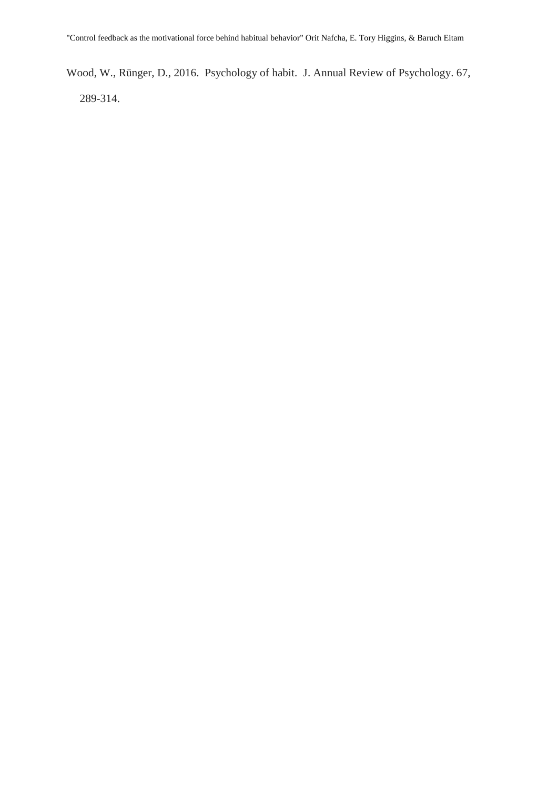Wood, W., Rünger, D., 2016. Psychology of habit. J. Annual Review of Psychology. 67, 289-314.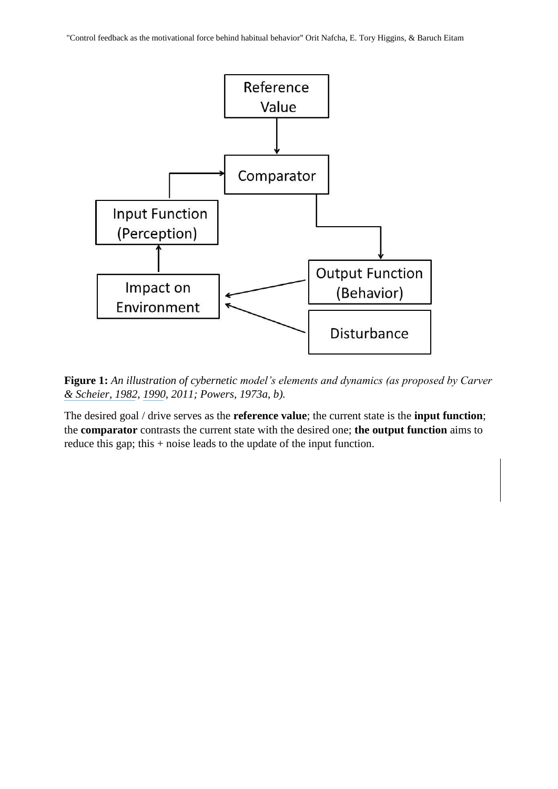

**Figure 1:** *An illustration of cybernetic model's elements and dynamics (as proposed by Carver [& Scheier, 1982](https://www.researchgate.net/publication/16065403_Control_theory_A_useful_conceptual_framework_for_personality-social_clinical_and_health_psychology?el=1_x_8&enrichId=rgreq-d00313c79f497528f4c3d1be325467ee-XXX&enrichSource=Y292ZXJQYWdlOzMwMzcxOTk4NjtBUzozNjgyNDEyOTQ3NTc4ODhAMTQ2NDgwNjk3NDI2MQ==), [1990](https://www.researchgate.net/publication/280796880_Origins_and_Functions_of_Positive_and_Negative_Affect_A_Control-Process_View?el=1_x_8&enrichId=rgreq-d00313c79f497528f4c3d1be325467ee-XXX&enrichSource=Y292ZXJQYWdlOzMwMzcxOTk4NjtBUzozNjgyNDEyOTQ3NTc4ODhAMTQ2NDgwNjk3NDI2MQ==), 2011; Powers, 1973a, b).*

The desired goal / drive serves as the **reference value**; the current state is the **input function**; the **comparator** contrasts the current state with the desired one; **the output function** aims to reduce this gap; this + noise leads to the update of the input function.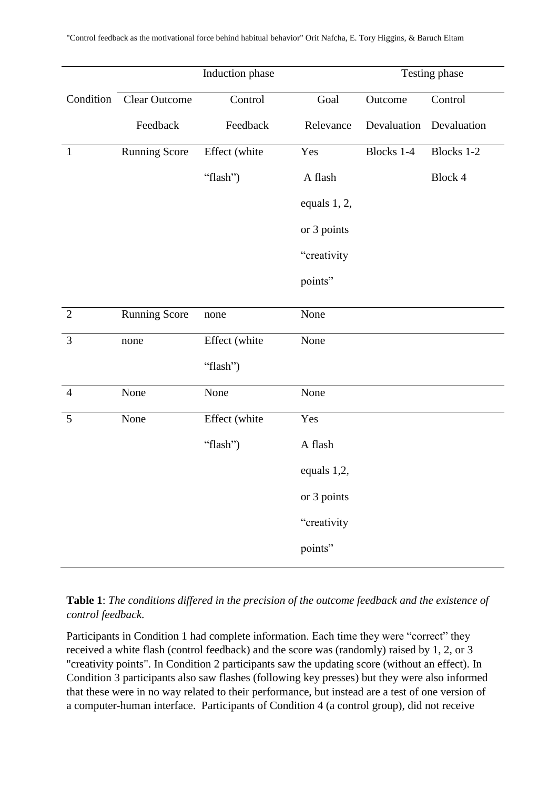|                |                      | Induction phase |                | Testing phase |             |
|----------------|----------------------|-----------------|----------------|---------------|-------------|
| Condition      | <b>Clear Outcome</b> | Control         | Goal           | Outcome       | Control     |
|                | Feedback             | Feedback        | Relevance      | Devaluation   | Devaluation |
| $\mathbf{1}$   | <b>Running Score</b> | Effect (white   | Yes            | Blocks 1-4    | Blocks 1-2  |
|                |                      | "flash")        | A flash        |               | Block 4     |
|                |                      |                 | equals $1, 2,$ |               |             |
|                |                      |                 | or 3 points    |               |             |
|                |                      |                 | "creativity    |               |             |
|                |                      |                 | points"        |               |             |
| $\overline{2}$ | <b>Running Score</b> | none            | None           |               |             |
| 3              | none                 | Effect (white   | None           |               |             |
|                |                      | "flash")        |                |               |             |
| $\overline{4}$ | None                 | None            | None           |               |             |
| 5              | None                 | Effect (white   | Yes            |               |             |
|                |                      | "flash")        | A flash        |               |             |

# **Table 1**: *The conditions differed in the precision of the outcome feedback and the existence of control feedback*.

equals 1,2,

or 3 points

"creativity

points"

Participants in Condition 1 had complete information. Each time they were "correct" they received a white flash (control feedback) and the score was (randomly) raised by 1, 2, or 3 "creativity points". In Condition 2 participants saw the updating score (without an effect). In Condition 3 participants also saw flashes (following key presses) but they were also informed that these were in no way related to their performance, but instead are a test of one version of a computer-human interface. Participants of Condition 4 (a control group), did not receive